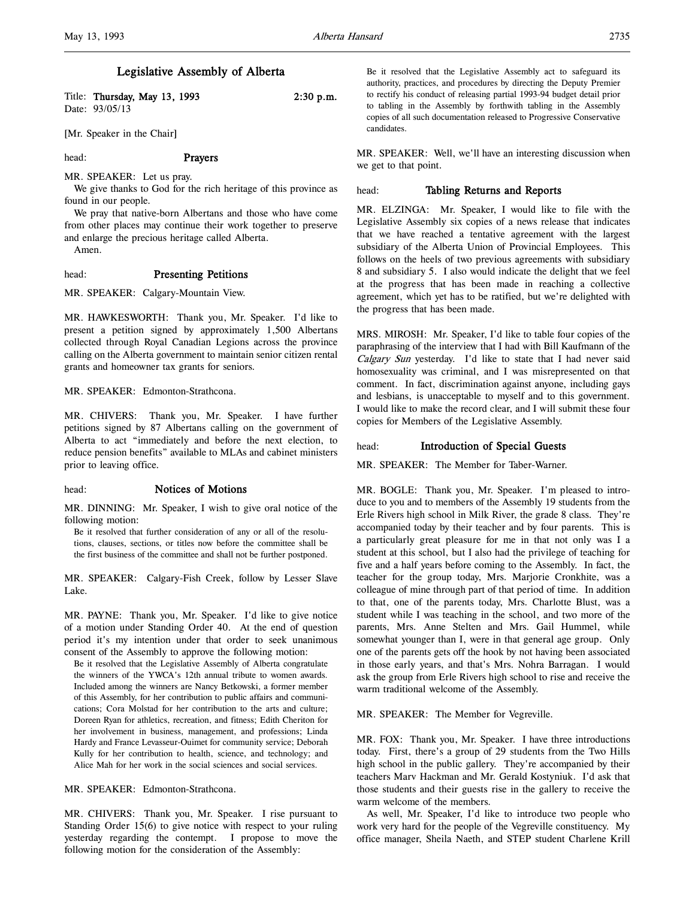### Legislative Assembly of Alberta

| Title: Thursday, May 13, 1993 | $2:30$ p.m. |
|-------------------------------|-------------|
| Date: 93/05/13                |             |

[Mr. Speaker in the Chair]

### head: Prayers

MR. SPEAKER: Let us pray.

We give thanks to God for the rich heritage of this province as found in our people.

We pray that native-born Albertans and those who have come from other places may continue their work together to preserve and enlarge the precious heritage called Alberta.

Amen.

### head: Presenting Petitions

MR. SPEAKER: Calgary-Mountain View.

MR. HAWKESWORTH: Thank you, Mr. Speaker. I'd like to present a petition signed by approximately 1,500 Albertans collected through Royal Canadian Legions across the province calling on the Alberta government to maintain senior citizen rental grants and homeowner tax grants for seniors.

MR. SPEAKER: Edmonton-Strathcona.

MR. CHIVERS: Thank you, Mr. Speaker. I have further petitions signed by 87 Albertans calling on the government of Alberta to act "immediately and before the next election, to reduce pension benefits" available to MLAs and cabinet ministers prior to leaving office.

### head: Notices of Motions

MR. DINNING: Mr. Speaker, I wish to give oral notice of the following motion:

Be it resolved that further consideration of any or all of the resolutions, clauses, sections, or titles now before the committee shall be the first business of the committee and shall not be further postponed.

MR. SPEAKER: Calgary-Fish Creek, follow by Lesser Slave Lake.

MR. PAYNE: Thank you, Mr. Speaker. I'd like to give notice of a motion under Standing Order 40. At the end of question period it's my intention under that order to seek unanimous consent of the Assembly to approve the following motion:

Be it resolved that the Legislative Assembly of Alberta congratulate the winners of the YWCA's 12th annual tribute to women awards. Included among the winners are Nancy Betkowski, a former member of this Assembly, for her contribution to public affairs and communications; Cora Molstad for her contribution to the arts and culture; Doreen Ryan for athletics, recreation, and fitness; Edith Cheriton for her involvement in business, management, and professions; Linda Hardy and France Levasseur-Ouimet for community service; Deborah Kully for her contribution to health, science, and technology; and Alice Mah for her work in the social sciences and social services.

MR. SPEAKER: Edmonton-Strathcona.

MR. CHIVERS: Thank you, Mr. Speaker. I rise pursuant to Standing Order 15(6) to give notice with respect to your ruling yesterday regarding the contempt. I propose to move the following motion for the consideration of the Assembly:

Be it resolved that the Legislative Assembly act to safeguard its authority, practices, and procedures by directing the Deputy Premier to rectify his conduct of releasing partial 1993-94 budget detail prior to tabling in the Assembly by forthwith tabling in the Assembly copies of all such documentation released to Progressive Conservative candidates.

MR. SPEAKER: Well, we'll have an interesting discussion when we get to that point.

#### head: Tabling Returns and Reports

MR. ELZINGA: Mr. Speaker, I would like to file with the Legislative Assembly six copies of a news release that indicates that we have reached a tentative agreement with the largest subsidiary of the Alberta Union of Provincial Employees. This follows on the heels of two previous agreements with subsidiary 8 and subsidiary 5. I also would indicate the delight that we feel at the progress that has been made in reaching a collective agreement, which yet has to be ratified, but we're delighted with the progress that has been made.

MRS. MIROSH: Mr. Speaker, I'd like to table four copies of the paraphrasing of the interview that I had with Bill Kaufmann of the Calgary Sun yesterday. I'd like to state that I had never said homosexuality was criminal, and I was misrepresented on that comment. In fact, discrimination against anyone, including gays and lesbians, is unacceptable to myself and to this government. I would like to make the record clear, and I will submit these four copies for Members of the Legislative Assembly.

#### head: **Introduction of Special Guests**

MR. SPEAKER: The Member for Taber-Warner.

MR. BOGLE: Thank you, Mr. Speaker. I'm pleased to introduce to you and to members of the Assembly 19 students from the Erle Rivers high school in Milk River, the grade 8 class. They're accompanied today by their teacher and by four parents. This is a particularly great pleasure for me in that not only was I a student at this school, but I also had the privilege of teaching for five and a half years before coming to the Assembly. In fact, the teacher for the group today, Mrs. Marjorie Cronkhite, was a colleague of mine through part of that period of time. In addition to that, one of the parents today, Mrs. Charlotte Blust, was a student while I was teaching in the school, and two more of the parents, Mrs. Anne Stelten and Mrs. Gail Hummel, while somewhat younger than I, were in that general age group. Only one of the parents gets off the hook by not having been associated in those early years, and that's Mrs. Nohra Barragan. I would ask the group from Erle Rivers high school to rise and receive the warm traditional welcome of the Assembly.

MR. SPEAKER: The Member for Vegreville.

MR. FOX: Thank you, Mr. Speaker. I have three introductions today. First, there's a group of 29 students from the Two Hills high school in the public gallery. They're accompanied by their teachers Marv Hackman and Mr. Gerald Kostyniuk. I'd ask that those students and their guests rise in the gallery to receive the warm welcome of the members.

As well, Mr. Speaker, I'd like to introduce two people who work very hard for the people of the Vegreville constituency. My office manager, Sheila Naeth, and STEP student Charlene Krill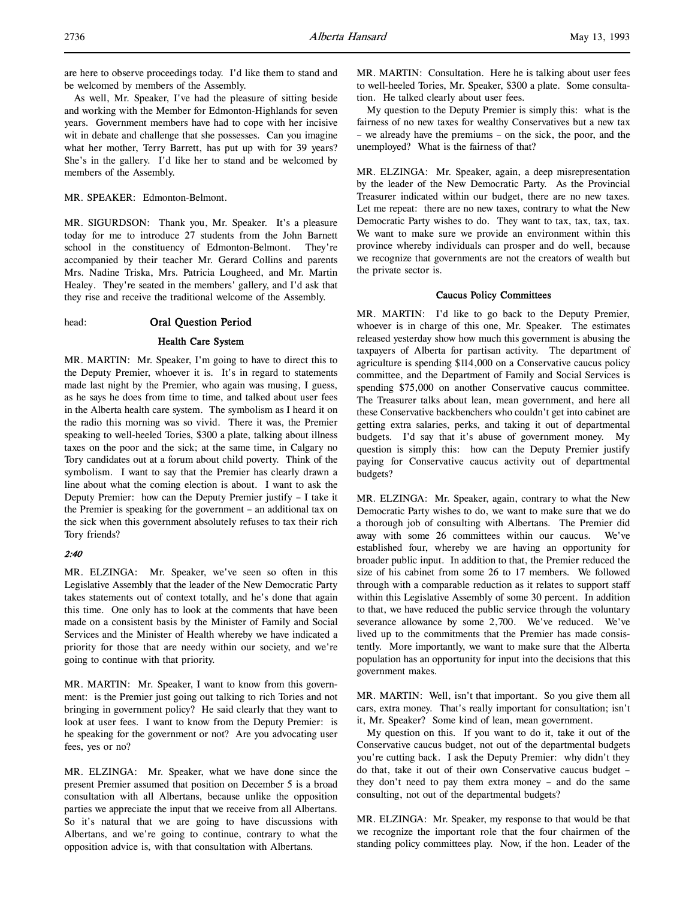are here to observe proceedings today. I'd like them to stand and be welcomed by members of the Assembly.

As well, Mr. Speaker, I've had the pleasure of sitting beside and working with the Member for Edmonton-Highlands for seven years. Government members have had to cope with her incisive wit in debate and challenge that she possesses. Can you imagine what her mother, Terry Barrett, has put up with for 39 years? She's in the gallery. I'd like her to stand and be welcomed by members of the Assembly.

MR. SPEAKER: Edmonton-Belmont.

MR. SIGURDSON: Thank you, Mr. Speaker. It's a pleasure today for me to introduce 27 students from the John Barnett school in the constituency of Edmonton-Belmont. They're accompanied by their teacher Mr. Gerard Collins and parents Mrs. Nadine Triska, Mrs. Patricia Lougheed, and Mr. Martin Healey. They're seated in the members' gallery, and I'd ask that they rise and receive the traditional welcome of the Assembly.

### head: Oral Question Period

#### Health Care System

MR. MARTIN: Mr. Speaker, I'm going to have to direct this to the Deputy Premier, whoever it is. It's in regard to statements made last night by the Premier, who again was musing, I guess, as he says he does from time to time, and talked about user fees in the Alberta health care system. The symbolism as I heard it on the radio this morning was so vivid. There it was, the Premier speaking to well-heeled Tories, \$300 a plate, talking about illness taxes on the poor and the sick; at the same time, in Calgary no Tory candidates out at a forum about child poverty. Think of the symbolism. I want to say that the Premier has clearly drawn a line about what the coming election is about. I want to ask the Deputy Premier: how can the Deputy Premier justify – I take it the Premier is speaking for the government – an additional tax on the sick when this government absolutely refuses to tax their rich Tory friends?

### 2:40

MR. ELZINGA: Mr. Speaker, we've seen so often in this Legislative Assembly that the leader of the New Democratic Party takes statements out of context totally, and he's done that again this time. One only has to look at the comments that have been made on a consistent basis by the Minister of Family and Social Services and the Minister of Health whereby we have indicated a priority for those that are needy within our society, and we're going to continue with that priority.

MR. MARTIN: Mr. Speaker, I want to know from this government: is the Premier just going out talking to rich Tories and not bringing in government policy? He said clearly that they want to look at user fees. I want to know from the Deputy Premier: is he speaking for the government or not? Are you advocating user fees, yes or no?

MR. ELZINGA: Mr. Speaker, what we have done since the present Premier assumed that position on December 5 is a broad consultation with all Albertans, because unlike the opposition parties we appreciate the input that we receive from all Albertans. So it's natural that we are going to have discussions with Albertans, and we're going to continue, contrary to what the opposition advice is, with that consultation with Albertans.

MR. MARTIN: Consultation. Here he is talking about user fees to well-heeled Tories, Mr. Speaker, \$300 a plate. Some consultation. He talked clearly about user fees.

My question to the Deputy Premier is simply this: what is the fairness of no new taxes for wealthy Conservatives but a new tax – we already have the premiums – on the sick, the poor, and the unemployed? What is the fairness of that?

MR. ELZINGA: Mr. Speaker, again, a deep misrepresentation by the leader of the New Democratic Party. As the Provincial Treasurer indicated within our budget, there are no new taxes. Let me repeat: there are no new taxes, contrary to what the New Democratic Party wishes to do. They want to tax, tax, tax, tax. We want to make sure we provide an environment within this province whereby individuals can prosper and do well, because we recognize that governments are not the creators of wealth but the private sector is.

#### Caucus Policy Committees

MR. MARTIN: I'd like to go back to the Deputy Premier, whoever is in charge of this one, Mr. Speaker. The estimates released yesterday show how much this government is abusing the taxpayers of Alberta for partisan activity. The department of agriculture is spending \$114,000 on a Conservative caucus policy committee, and the Department of Family and Social Services is spending \$75,000 on another Conservative caucus committee. The Treasurer talks about lean, mean government, and here all these Conservative backbenchers who couldn't get into cabinet are getting extra salaries, perks, and taking it out of departmental budgets. I'd say that it's abuse of government money. My question is simply this: how can the Deputy Premier justify paying for Conservative caucus activity out of departmental budgets?

MR. ELZINGA: Mr. Speaker, again, contrary to what the New Democratic Party wishes to do, we want to make sure that we do a thorough job of consulting with Albertans. The Premier did away with some 26 committees within our caucus. We've established four, whereby we are having an opportunity for broader public input. In addition to that, the Premier reduced the size of his cabinet from some 26 to 17 members. We followed through with a comparable reduction as it relates to support staff within this Legislative Assembly of some 30 percent. In addition to that, we have reduced the public service through the voluntary severance allowance by some 2,700. We've reduced. We've lived up to the commitments that the Premier has made consistently. More importantly, we want to make sure that the Alberta population has an opportunity for input into the decisions that this government makes.

MR. MARTIN: Well, isn't that important. So you give them all cars, extra money. That's really important for consultation; isn't it, Mr. Speaker? Some kind of lean, mean government.

My question on this. If you want to do it, take it out of the Conservative caucus budget, not out of the departmental budgets you're cutting back. I ask the Deputy Premier: why didn't they do that, take it out of their own Conservative caucus budget – they don't need to pay them extra money – and do the same consulting, not out of the departmental budgets?

MR. ELZINGA: Mr. Speaker, my response to that would be that we recognize the important role that the four chairmen of the standing policy committees play. Now, if the hon. Leader of the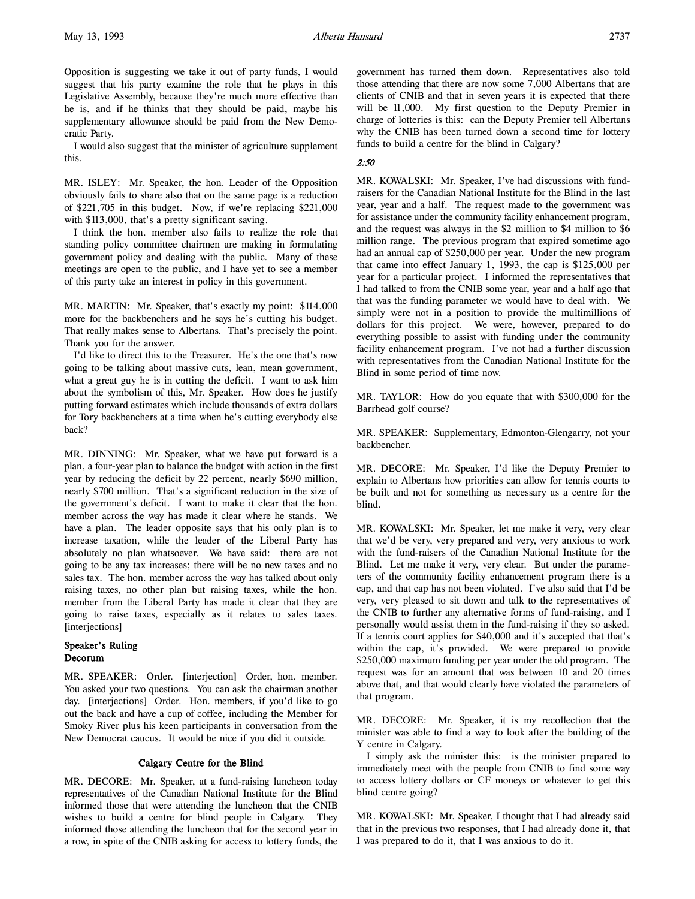Opposition is suggesting we take it out of party funds, I would suggest that his party examine the role that he plays in this Legislative Assembly, because they're much more effective than he is, and if he thinks that they should be paid, maybe his supplementary allowance should be paid from the New Democratic Party.

I would also suggest that the minister of agriculture supplement this.

MR. ISLEY: Mr. Speaker, the hon. Leader of the Opposition obviously fails to share also that on the same page is a reduction of \$221,705 in this budget. Now, if we're replacing \$221,000 with \$113,000, that's a pretty significant saving.

I think the hon. member also fails to realize the role that standing policy committee chairmen are making in formulating government policy and dealing with the public. Many of these meetings are open to the public, and I have yet to see a member of this party take an interest in policy in this government.

MR. MARTIN: Mr. Speaker, that's exactly my point: \$114,000 more for the backbenchers and he says he's cutting his budget. That really makes sense to Albertans. That's precisely the point. Thank you for the answer.

I'd like to direct this to the Treasurer. He's the one that's now going to be talking about massive cuts, lean, mean government, what a great guy he is in cutting the deficit. I want to ask him about the symbolism of this, Mr. Speaker. How does he justify putting forward estimates which include thousands of extra dollars for Tory backbenchers at a time when he's cutting everybody else back?

MR. DINNING: Mr. Speaker, what we have put forward is a plan, a four-year plan to balance the budget with action in the first year by reducing the deficit by 22 percent, nearly \$690 million, nearly \$700 million. That's a significant reduction in the size of the government's deficit. I want to make it clear that the hon. member across the way has made it clear where he stands. We have a plan. The leader opposite says that his only plan is to increase taxation, while the leader of the Liberal Party has absolutely no plan whatsoever. We have said: there are not going to be any tax increases; there will be no new taxes and no sales tax. The hon. member across the way has talked about only raising taxes, no other plan but raising taxes, while the hon. member from the Liberal Party has made it clear that they are going to raise taxes, especially as it relates to sales taxes. [interjections]

### Speaker's Ruling Decorum

MR. SPEAKER: Order. [interjection] Order, hon. member. You asked your two questions. You can ask the chairman another day. [interjections] Order. Hon. members, if you'd like to go out the back and have a cup of coffee, including the Member for Smoky River plus his keen participants in conversation from the New Democrat caucus. It would be nice if you did it outside.

#### Calgary Centre for the Blind

MR. DECORE: Mr. Speaker, at a fund-raising luncheon today representatives of the Canadian National Institute for the Blind informed those that were attending the luncheon that the CNIB wishes to build a centre for blind people in Calgary. They informed those attending the luncheon that for the second year in a row, in spite of the CNIB asking for access to lottery funds, the

government has turned them down. Representatives also told those attending that there are now some 7,000 Albertans that are clients of CNIB and that in seven years it is expected that there will be 11,000. My first question to the Deputy Premier in charge of lotteries is this: can the Deputy Premier tell Albertans why the CNIB has been turned down a second time for lottery funds to build a centre for the blind in Calgary?

### 2:50

MR. KOWALSKI: Mr. Speaker, I've had discussions with fundraisers for the Canadian National Institute for the Blind in the last year, year and a half. The request made to the government was for assistance under the community facility enhancement program, and the request was always in the \$2 million to \$4 million to \$6 million range. The previous program that expired sometime ago had an annual cap of \$250,000 per year. Under the new program that came into effect January 1, 1993, the cap is \$125,000 per year for a particular project. I informed the representatives that I had talked to from the CNIB some year, year and a half ago that that was the funding parameter we would have to deal with. We simply were not in a position to provide the multimillions of dollars for this project. We were, however, prepared to do everything possible to assist with funding under the community facility enhancement program. I've not had a further discussion with representatives from the Canadian National Institute for the Blind in some period of time now.

MR. TAYLOR: How do you equate that with \$300,000 for the Barrhead golf course?

MR. SPEAKER: Supplementary, Edmonton-Glengarry, not your backbencher.

MR. DECORE: Mr. Speaker, I'd like the Deputy Premier to explain to Albertans how priorities can allow for tennis courts to be built and not for something as necessary as a centre for the blind.

MR. KOWALSKI: Mr. Speaker, let me make it very, very clear that we'd be very, very prepared and very, very anxious to work with the fund-raisers of the Canadian National Institute for the Blind. Let me make it very, very clear. But under the parameters of the community facility enhancement program there is a cap, and that cap has not been violated. I've also said that I'd be very, very pleased to sit down and talk to the representatives of the CNIB to further any alternative forms of fund-raising, and I personally would assist them in the fund-raising if they so asked. If a tennis court applies for \$40,000 and it's accepted that that's within the cap, it's provided. We were prepared to provide \$250,000 maximum funding per year under the old program. The request was for an amount that was between 10 and 20 times above that, and that would clearly have violated the parameters of that program.

MR. DECORE: Mr. Speaker, it is my recollection that the minister was able to find a way to look after the building of the Y centre in Calgary.

I simply ask the minister this: is the minister prepared to immediately meet with the people from CNIB to find some way to access lottery dollars or CF moneys or whatever to get this blind centre going?

MR. KOWALSKI: Mr. Speaker, I thought that I had already said that in the previous two responses, that I had already done it, that I was prepared to do it, that I was anxious to do it.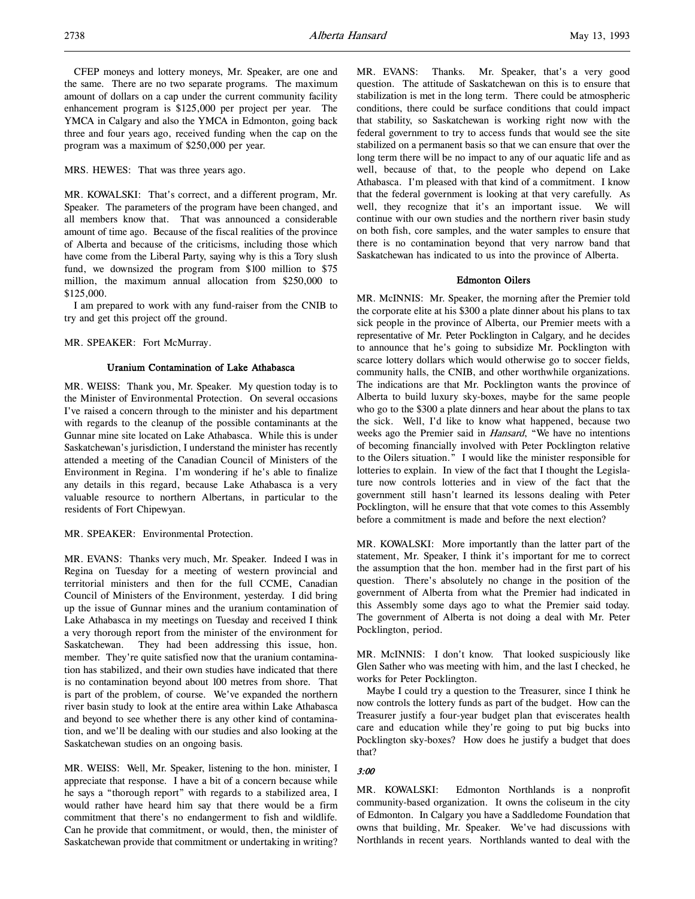l,

CFEP moneys and lottery moneys, Mr. Speaker, are one and the same. There are no two separate programs. The maximum amount of dollars on a cap under the current community facility enhancement program is \$125,000 per project per year. The YMCA in Calgary and also the YMCA in Edmonton, going back three and four years ago, received funding when the cap on the program was a maximum of \$250,000 per year.

MRS. HEWES: That was three years ago.

MR. KOWALSKI: That's correct, and a different program, Mr. Speaker. The parameters of the program have been changed, and all members know that. That was announced a considerable amount of time ago. Because of the fiscal realities of the province of Alberta and because of the criticisms, including those which have come from the Liberal Party, saying why is this a Tory slush fund, we downsized the program from \$100 million to \$75 million, the maximum annual allocation from \$250,000 to \$125,000.

I am prepared to work with any fund-raiser from the CNIB to try and get this project off the ground.

#### MR. SPEAKER: Fort McMurray.

#### Uranium Contamination of Lake Athabasca

MR. WEISS: Thank you, Mr. Speaker. My question today is to the Minister of Environmental Protection. On several occasions I've raised a concern through to the minister and his department with regards to the cleanup of the possible contaminants at the Gunnar mine site located on Lake Athabasca. While this is under Saskatchewan's jurisdiction, I understand the minister has recently attended a meeting of the Canadian Council of Ministers of the Environment in Regina. I'm wondering if he's able to finalize any details in this regard, because Lake Athabasca is a very valuable resource to northern Albertans, in particular to the residents of Fort Chipewyan.

### MR. SPEAKER: Environmental Protection.

MR. EVANS: Thanks very much, Mr. Speaker. Indeed I was in Regina on Tuesday for a meeting of western provincial and territorial ministers and then for the full CCME, Canadian Council of Ministers of the Environment, yesterday. I did bring up the issue of Gunnar mines and the uranium contamination of Lake Athabasca in my meetings on Tuesday and received I think a very thorough report from the minister of the environment for Saskatchewan. They had been addressing this issue, hon. member. They're quite satisfied now that the uranium contamination has stabilized, and their own studies have indicated that there is no contamination beyond about 100 metres from shore. That is part of the problem, of course. We've expanded the northern river basin study to look at the entire area within Lake Athabasca and beyond to see whether there is any other kind of contamination, and we'll be dealing with our studies and also looking at the Saskatchewan studies on an ongoing basis.

MR. WEISS: Well, Mr. Speaker, listening to the hon. minister, I appreciate that response. I have a bit of a concern because while he says a "thorough report" with regards to a stabilized area, I would rather have heard him say that there would be a firm commitment that there's no endangerment to fish and wildlife. Can he provide that commitment, or would, then, the minister of Saskatchewan provide that commitment or undertaking in writing?

MR. EVANS: Thanks. Mr. Speaker, that's a very good question. The attitude of Saskatchewan on this is to ensure that stabilization is met in the long term. There could be atmospheric conditions, there could be surface conditions that could impact that stability, so Saskatchewan is working right now with the federal government to try to access funds that would see the site stabilized on a permanent basis so that we can ensure that over the long term there will be no impact to any of our aquatic life and as well, because of that, to the people who depend on Lake Athabasca. I'm pleased with that kind of a commitment. I know that the federal government is looking at that very carefully. As well, they recognize that it's an important issue. We will continue with our own studies and the northern river basin study on both fish, core samples, and the water samples to ensure that there is no contamination beyond that very narrow band that Saskatchewan has indicated to us into the province of Alberta.

#### Edmonton Oilers

MR. McINNIS: Mr. Speaker, the morning after the Premier told the corporate elite at his \$300 a plate dinner about his plans to tax sick people in the province of Alberta, our Premier meets with a representative of Mr. Peter Pocklington in Calgary, and he decides to announce that he's going to subsidize Mr. Pocklington with scarce lottery dollars which would otherwise go to soccer fields, community halls, the CNIB, and other worthwhile organizations. The indications are that Mr. Pocklington wants the province of Alberta to build luxury sky-boxes, maybe for the same people who go to the \$300 a plate dinners and hear about the plans to tax the sick. Well, I'd like to know what happened, because two weeks ago the Premier said in *Hansard*, "We have no intentions of becoming financially involved with Peter Pocklington relative to the Oilers situation." I would like the minister responsible for lotteries to explain. In view of the fact that I thought the Legislature now controls lotteries and in view of the fact that the government still hasn't learned its lessons dealing with Peter Pocklington, will he ensure that that vote comes to this Assembly before a commitment is made and before the next election?

MR. KOWALSKI: More importantly than the latter part of the statement, Mr. Speaker, I think it's important for me to correct the assumption that the hon. member had in the first part of his question. There's absolutely no change in the position of the government of Alberta from what the Premier had indicated in this Assembly some days ago to what the Premier said today. The government of Alberta is not doing a deal with Mr. Peter Pocklington, period.

MR. McINNIS: I don't know. That looked suspiciously like Glen Sather who was meeting with him, and the last I checked, he works for Peter Pocklington.

Maybe I could try a question to the Treasurer, since I think he now controls the lottery funds as part of the budget. How can the Treasurer justify a four-year budget plan that eviscerates health care and education while they're going to put big bucks into Pocklington sky-boxes? How does he justify a budget that does that?

#### 3:00

MR. KOWALSKI: Edmonton Northlands is a nonprofit community-based organization. It owns the coliseum in the city of Edmonton. In Calgary you have a Saddledome Foundation that owns that building, Mr. Speaker. We've had discussions with Northlands in recent years. Northlands wanted to deal with the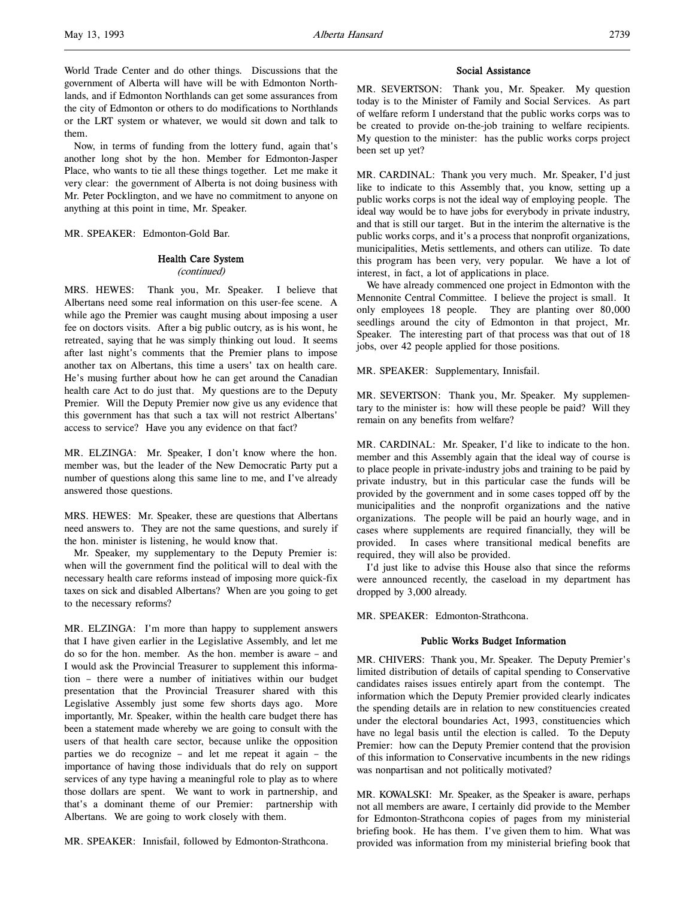World Trade Center and do other things. Discussions that the government of Alberta will have will be with Edmonton Northlands, and if Edmonton Northlands can get some assurances from the city of Edmonton or others to do modifications to Northlands or the LRT system or whatever, we would sit down and talk to them.

Now, in terms of funding from the lottery fund, again that's another long shot by the hon. Member for Edmonton-Jasper Place, who wants to tie all these things together. Let me make it very clear: the government of Alberta is not doing business with Mr. Peter Pocklington, and we have no commitment to anyone on anything at this point in time, Mr. Speaker.

MR. SPEAKER: Edmonton-Gold Bar.

# Health Care System

(continued)

MRS. HEWES: Thank you, Mr. Speaker. I believe that Albertans need some real information on this user-fee scene. A while ago the Premier was caught musing about imposing a user fee on doctors visits. After a big public outcry, as is his wont, he retreated, saying that he was simply thinking out loud. It seems after last night's comments that the Premier plans to impose another tax on Albertans, this time a users' tax on health care. He's musing further about how he can get around the Canadian health care Act to do just that. My questions are to the Deputy Premier. Will the Deputy Premier now give us any evidence that this government has that such a tax will not restrict Albertans' access to service? Have you any evidence on that fact?

MR. ELZINGA: Mr. Speaker, I don't know where the hon. member was, but the leader of the New Democratic Party put a number of questions along this same line to me, and I've already answered those questions.

MRS. HEWES: Mr. Speaker, these are questions that Albertans need answers to. They are not the same questions, and surely if the hon. minister is listening, he would know that.

Mr. Speaker, my supplementary to the Deputy Premier is: when will the government find the political will to deal with the necessary health care reforms instead of imposing more quick-fix taxes on sick and disabled Albertans? When are you going to get to the necessary reforms?

MR. ELZINGA: I'm more than happy to supplement answers that I have given earlier in the Legislative Assembly, and let me do so for the hon. member. As the hon. member is aware – and I would ask the Provincial Treasurer to supplement this information – there were a number of initiatives within our budget presentation that the Provincial Treasurer shared with this Legislative Assembly just some few shorts days ago. More importantly, Mr. Speaker, within the health care budget there has been a statement made whereby we are going to consult with the users of that health care sector, because unlike the opposition parties we do recognize – and let me repeat it again – the importance of having those individuals that do rely on support services of any type having a meaningful role to play as to where those dollars are spent. We want to work in partnership, and that's a dominant theme of our Premier: partnership with Albertans. We are going to work closely with them.

MR. SPEAKER: Innisfail, followed by Edmonton-Strathcona.

#### Social Assistance

MR. SEVERTSON: Thank you, Mr. Speaker. My question today is to the Minister of Family and Social Services. As part of welfare reform I understand that the public works corps was to be created to provide on-the-job training to welfare recipients. My question to the minister: has the public works corps project been set up yet?

MR. CARDINAL: Thank you very much. Mr. Speaker, I'd just like to indicate to this Assembly that, you know, setting up a public works corps is not the ideal way of employing people. The ideal way would be to have jobs for everybody in private industry, and that is still our target. But in the interim the alternative is the public works corps, and it's a process that nonprofit organizations, municipalities, Metis settlements, and others can utilize. To date this program has been very, very popular. We have a lot of interest, in fact, a lot of applications in place.

We have already commenced one project in Edmonton with the Mennonite Central Committee. I believe the project is small. It only employees 18 people. They are planting over 80,000 seedlings around the city of Edmonton in that project, Mr. Speaker. The interesting part of that process was that out of 18 jobs, over 42 people applied for those positions.

MR. SPEAKER: Supplementary, Innisfail.

MR. SEVERTSON: Thank you, Mr. Speaker. My supplementary to the minister is: how will these people be paid? Will they remain on any benefits from welfare?

MR. CARDINAL: Mr. Speaker, I'd like to indicate to the hon. member and this Assembly again that the ideal way of course is to place people in private-industry jobs and training to be paid by private industry, but in this particular case the funds will be provided by the government and in some cases topped off by the municipalities and the nonprofit organizations and the native organizations. The people will be paid an hourly wage, and in cases where supplements are required financially, they will be provided. In cases where transitional medical benefits are required, they will also be provided.

I'd just like to advise this House also that since the reforms were announced recently, the caseload in my department has dropped by 3,000 already.

MR. SPEAKER: Edmonton-Strathcona.

#### Public Works Budget Information

MR. CHIVERS: Thank you, Mr. Speaker. The Deputy Premier's limited distribution of details of capital spending to Conservative candidates raises issues entirely apart from the contempt. The information which the Deputy Premier provided clearly indicates the spending details are in relation to new constituencies created under the electoral boundaries Act, 1993, constituencies which have no legal basis until the election is called. To the Deputy Premier: how can the Deputy Premier contend that the provision of this information to Conservative incumbents in the new ridings was nonpartisan and not politically motivated?

MR. KOWALSKI: Mr. Speaker, as the Speaker is aware, perhaps not all members are aware, I certainly did provide to the Member for Edmonton-Strathcona copies of pages from my ministerial briefing book. He has them. I've given them to him. What was provided was information from my ministerial briefing book that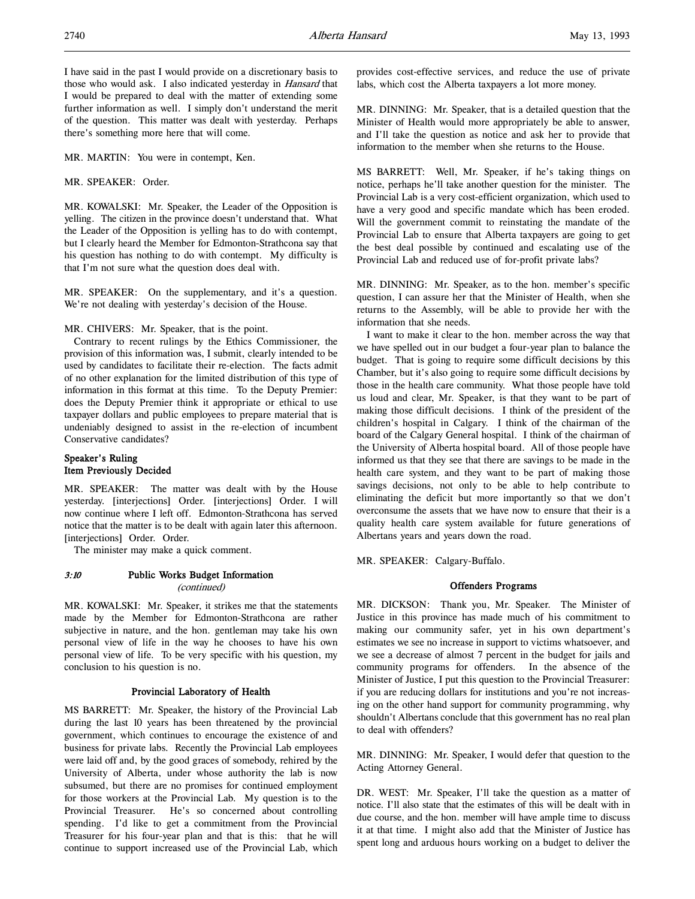I have said in the past I would provide on a discretionary basis to those who would ask. I also indicated yesterday in *Hansard* that I would be prepared to deal with the matter of extending some further information as well. I simply don't understand the merit of the question. This matter was dealt with yesterday. Perhaps there's something more here that will come.

MR. MARTIN: You were in contempt, Ken.

MR. SPEAKER: Order.

MR. KOWALSKI: Mr. Speaker, the Leader of the Opposition is yelling. The citizen in the province doesn't understand that. What the Leader of the Opposition is yelling has to do with contempt, but I clearly heard the Member for Edmonton-Strathcona say that his question has nothing to do with contempt. My difficulty is that I'm not sure what the question does deal with.

MR. SPEAKER: On the supplementary, and it's a question. We're not dealing with yesterday's decision of the House.

MR. CHIVERS: Mr. Speaker, that is the point.

Contrary to recent rulings by the Ethics Commissioner, the provision of this information was, I submit, clearly intended to be used by candidates to facilitate their re-election. The facts admit of no other explanation for the limited distribution of this type of information in this format at this time. To the Deputy Premier: does the Deputy Premier think it appropriate or ethical to use taxpayer dollars and public employees to prepare material that is undeniably designed to assist in the re-election of incumbent Conservative candidates?

### Speaker's Ruling Item Previously Decided

MR. SPEAKER: The matter was dealt with by the House yesterday. [interjections] Order. [interjections] Order. I will now continue where I left off. Edmonton-Strathcona has served notice that the matter is to be dealt with again later this afternoon. [interjections] Order. Order.

The minister may make a quick comment.

## 3:10 Public Works Budget Information

(continued)

MR. KOWALSKI: Mr. Speaker, it strikes me that the statements made by the Member for Edmonton-Strathcona are rather subjective in nature, and the hon. gentleman may take his own personal view of life in the way he chooses to have his own personal view of life. To be very specific with his question, my conclusion to his question is no.

### Provincial Laboratory of Health

MS BARRETT: Mr. Speaker, the history of the Provincial Lab during the last 10 years has been threatened by the provincial government, which continues to encourage the existence of and business for private labs. Recently the Provincial Lab employees were laid off and, by the good graces of somebody, rehired by the University of Alberta, under whose authority the lab is now subsumed, but there are no promises for continued employment for those workers at the Provincial Lab. My question is to the Provincial Treasurer. He's so concerned about controlling spending. I'd like to get a commitment from the Provincial Treasurer for his four-year plan and that is this: that he will continue to support increased use of the Provincial Lab, which

provides cost-effective services, and reduce the use of private labs, which cost the Alberta taxpayers a lot more money.

MR. DINNING: Mr. Speaker, that is a detailed question that the Minister of Health would more appropriately be able to answer, and I'll take the question as notice and ask her to provide that information to the member when she returns to the House.

MS BARRETT: Well, Mr. Speaker, if he's taking things on notice, perhaps he'll take another question for the minister. The Provincial Lab is a very cost-efficient organization, which used to have a very good and specific mandate which has been eroded. Will the government commit to reinstating the mandate of the Provincial Lab to ensure that Alberta taxpayers are going to get the best deal possible by continued and escalating use of the Provincial Lab and reduced use of for-profit private labs?

MR. DINNING: Mr. Speaker, as to the hon. member's specific question, I can assure her that the Minister of Health, when she returns to the Assembly, will be able to provide her with the information that she needs.

I want to make it clear to the hon. member across the way that we have spelled out in our budget a four-year plan to balance the budget. That is going to require some difficult decisions by this Chamber, but it's also going to require some difficult decisions by those in the health care community. What those people have told us loud and clear, Mr. Speaker, is that they want to be part of making those difficult decisions. I think of the president of the children's hospital in Calgary. I think of the chairman of the board of the Calgary General hospital. I think of the chairman of the University of Alberta hospital board. All of those people have informed us that they see that there are savings to be made in the health care system, and they want to be part of making those savings decisions, not only to be able to help contribute to eliminating the deficit but more importantly so that we don't overconsume the assets that we have now to ensure that their is a quality health care system available for future generations of Albertans years and years down the road.

MR. SPEAKER: Calgary-Buffalo.

### Offenders Programs

MR. DICKSON: Thank you, Mr. Speaker. The Minister of Justice in this province has made much of his commitment to making our community safer, yet in his own department's estimates we see no increase in support to victims whatsoever, and we see a decrease of almost 7 percent in the budget for jails and community programs for offenders. In the absence of the Minister of Justice, I put this question to the Provincial Treasurer: if you are reducing dollars for institutions and you're not increasing on the other hand support for community programming, why shouldn't Albertans conclude that this government has no real plan to deal with offenders?

MR. DINNING: Mr. Speaker, I would defer that question to the Acting Attorney General.

DR. WEST: Mr. Speaker, I'll take the question as a matter of notice. I'll also state that the estimates of this will be dealt with in due course, and the hon. member will have ample time to discuss it at that time. I might also add that the Minister of Justice has spent long and arduous hours working on a budget to deliver the

l,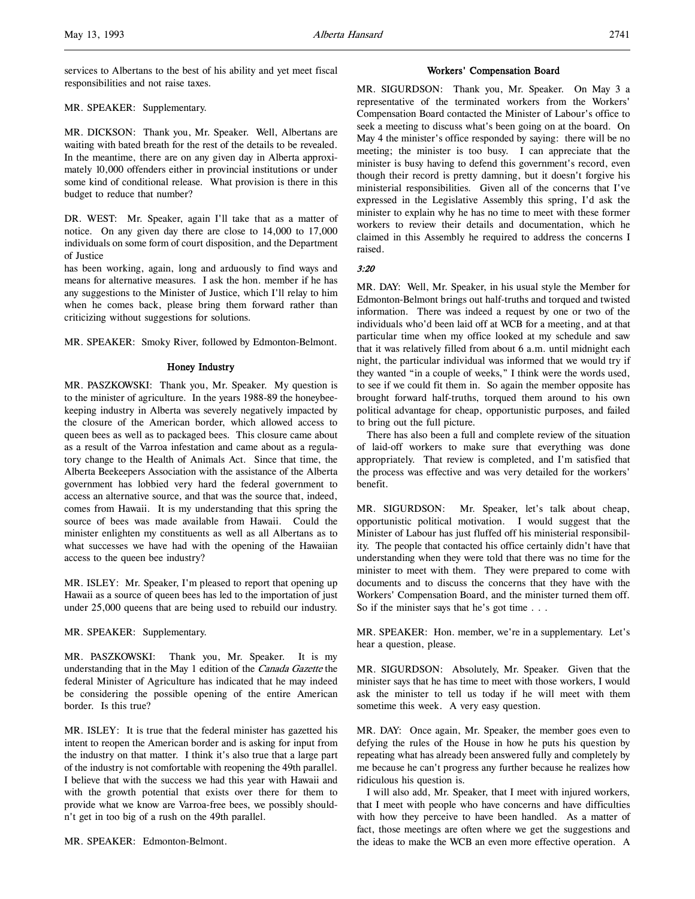services to Albertans to the best of his ability and yet meet fiscal responsibilities and not raise taxes.

#### MR. SPEAKER: Supplementary.

MR. DICKSON: Thank you, Mr. Speaker. Well, Albertans are waiting with bated breath for the rest of the details to be revealed. In the meantime, there are on any given day in Alberta approximately 10,000 offenders either in provincial institutions or under some kind of conditional release. What provision is there in this budget to reduce that number?

DR. WEST: Mr. Speaker, again I'll take that as a matter of notice. On any given day there are close to 14,000 to 17,000 individuals on some form of court disposition, and the Department of Justice

has been working, again, long and arduously to find ways and means for alternative measures. I ask the hon. member if he has any suggestions to the Minister of Justice, which I'll relay to him when he comes back, please bring them forward rather than criticizing without suggestions for solutions.

MR. SPEAKER: Smoky River, followed by Edmonton-Belmont.

### Honey Industry

MR. PASZKOWSKI: Thank you, Mr. Speaker. My question is to the minister of agriculture. In the years 1988-89 the honeybeekeeping industry in Alberta was severely negatively impacted by the closure of the American border, which allowed access to queen bees as well as to packaged bees. This closure came about as a result of the Varroa infestation and came about as a regulatory change to the Health of Animals Act. Since that time, the Alberta Beekeepers Association with the assistance of the Alberta government has lobbied very hard the federal government to access an alternative source, and that was the source that, indeed, comes from Hawaii. It is my understanding that this spring the source of bees was made available from Hawaii. Could the minister enlighten my constituents as well as all Albertans as to what successes we have had with the opening of the Hawaiian access to the queen bee industry?

MR. ISLEY: Mr. Speaker, I'm pleased to report that opening up Hawaii as a source of queen bees has led to the importation of just under 25,000 queens that are being used to rebuild our industry.

MR. SPEAKER: Supplementary.

MR. PASZKOWSKI: Thank you, Mr. Speaker. It is my understanding that in the May 1 edition of the Canada Gazette the federal Minister of Agriculture has indicated that he may indeed be considering the possible opening of the entire American border. Is this true?

MR. ISLEY: It is true that the federal minister has gazetted his intent to reopen the American border and is asking for input from the industry on that matter. I think it's also true that a large part of the industry is not comfortable with reopening the 49th parallel. I believe that with the success we had this year with Hawaii and with the growth potential that exists over there for them to provide what we know are Varroa-free bees, we possibly shouldn't get in too big of a rush on the 49th parallel.

MR. SPEAKER: Edmonton-Belmont.

### Workers' Compensation Board

MR. SIGURDSON: Thank you, Mr. Speaker. On May 3 a representative of the terminated workers from the Workers' Compensation Board contacted the Minister of Labour's office to seek a meeting to discuss what's been going on at the board. On May 4 the minister's office responded by saying: there will be no meeting; the minister is too busy. I can appreciate that the minister is busy having to defend this government's record, even though their record is pretty damning, but it doesn't forgive his ministerial responsibilities. Given all of the concerns that I've expressed in the Legislative Assembly this spring, I'd ask the minister to explain why he has no time to meet with these former workers to review their details and documentation, which he claimed in this Assembly he required to address the concerns I raised.

3:20

MR. DAY: Well, Mr. Speaker, in his usual style the Member for Edmonton-Belmont brings out half-truths and torqued and twisted information. There was indeed a request by one or two of the individuals who'd been laid off at WCB for a meeting, and at that particular time when my office looked at my schedule and saw that it was relatively filled from about 6 a.m. until midnight each night, the particular individual was informed that we would try if they wanted "in a couple of weeks," I think were the words used, to see if we could fit them in. So again the member opposite has brought forward half-truths, torqued them around to his own political advantage for cheap, opportunistic purposes, and failed to bring out the full picture.

There has also been a full and complete review of the situation of laid-off workers to make sure that everything was done appropriately. That review is completed, and I'm satisfied that the process was effective and was very detailed for the workers' benefit.

MR. SIGURDSON: Mr. Speaker, let's talk about cheap, opportunistic political motivation. I would suggest that the Minister of Labour has just fluffed off his ministerial responsibility. The people that contacted his office certainly didn't have that understanding when they were told that there was no time for the minister to meet with them. They were prepared to come with documents and to discuss the concerns that they have with the Workers' Compensation Board, and the minister turned them off. So if the minister says that he's got time . . .

MR. SPEAKER: Hon. member, we're in a supplementary. Let's hear a question, please.

MR. SIGURDSON: Absolutely, Mr. Speaker. Given that the minister says that he has time to meet with those workers, I would ask the minister to tell us today if he will meet with them sometime this week. A very easy question.

MR. DAY: Once again, Mr. Speaker, the member goes even to defying the rules of the House in how he puts his question by repeating what has already been answered fully and completely by me because he can't progress any further because he realizes how ridiculous his question is.

I will also add, Mr. Speaker, that I meet with injured workers, that I meet with people who have concerns and have difficulties with how they perceive to have been handled. As a matter of fact, those meetings are often where we get the suggestions and the ideas to make the WCB an even more effective operation. A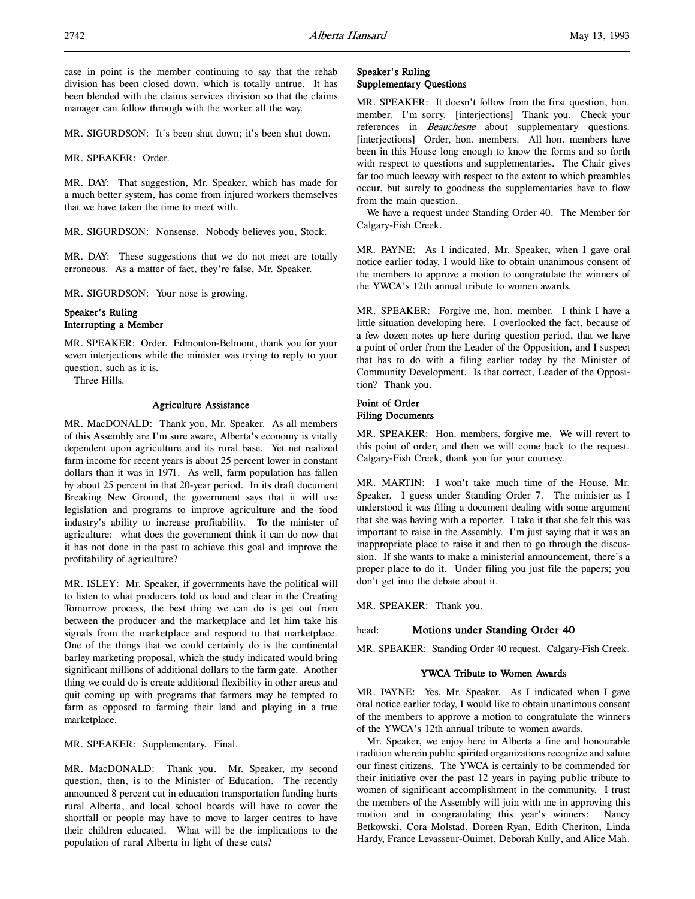case in point is the member continuing to say that the rehab division has been closed down, which is totally untrue. It has been blended with the claims services division so that the claims manager can follow through with the worker all the way.

MR. SIGURDSON: It's been shut down; it's been shut down.

MR. SPEAKER: Order.

MR. DAY: That suggestion, Mr. Speaker, which has made for a much better system, has come from injured workers themselves that we have taken the time to meet with.

MR. SIGURDSON: Nonsense. Nobody believes you, Stock.

MR. DAY: These suggestions that we do not meet are totally erroneous. As a matter of fact, they're false, Mr. Speaker.

MR. SIGURDSON: Your nose is growing.

### Speaker's Ruling Interrupting a Member

MR. SPEAKER: Order. Edmonton-Belmont, thank you for your seven interjections while the minister was trying to reply to your question, such as it is.

Three Hills.

#### Agriculture Assistance

MR. MacDONALD: Thank you, Mr. Speaker. As all members of this Assembly are I'm sure aware, Alberta's economy is vitally dependent upon agriculture and its rural base. Yet net realized farm income for recent years is about 25 percent lower in constant dollars than it was in 1971. As well, farm population has fallen by about 25 percent in that 20-year period. In its draft document Breaking New Ground, the government says that it will use legislation and programs to improve agriculture and the food industry's ability to increase profitability. To the minister of agriculture: what does the government think it can do now that it has not done in the past to achieve this goal and improve the profitability of agriculture?

MR. ISLEY: Mr. Speaker, if governments have the political will to listen to what producers told us loud and clear in the Creating Tomorrow process, the best thing we can do is get out from between the producer and the marketplace and let him take his signals from the marketplace and respond to that marketplace. One of the things that we could certainly do is the continental barley marketing proposal, which the study indicated would bring significant millions of additional dollars to the farm gate. Another thing we could do is create additional flexibility in other areas and quit coming up with programs that farmers may be tempted to farm as opposed to farming their land and playing in a true marketplace.

MR. SPEAKER: Supplementary. Final.

MR. MacDONALD: Thank you. Mr. Speaker, my second question, then, is to the Minister of Education. The recently announced 8 percent cut in education transportation funding hurts rural Alberta, and local school boards will have to cover the shortfall or people may have to move to larger centres to have their children educated. What will be the implications to the population of rural Alberta in light of these cuts?

### Speaker's Ruling Supplementary Questions

MR. SPEAKER: It doesn't follow from the first question, hon. member. I'm sorry. [interjections] Thank you. Check your references in *Beauchesne* about supplementary questions. [interjections] Order, hon. members. All hon. members have been in this House long enough to know the forms and so forth with respect to questions and supplementaries. The Chair gives far too much leeway with respect to the extent to which preambles occur, but surely to goodness the supplementaries have to flow from the main question.

We have a request under Standing Order 40. The Member for Calgary-Fish Creek.

MR. PAYNE: As I indicated, Mr. Speaker, when I gave oral notice earlier today, I would like to obtain unanimous consent of the members to approve a motion to congratulate the winners of the YWCA's 12th annual tribute to women awards.

MR. SPEAKER: Forgive me, hon. member. I think I have a little situation developing here. I overlooked the fact, because of a few dozen notes up here during question period, that we have a point of order from the Leader of the Opposition, and I suspect that has to do with a filing earlier today by the Minister of Community Development. Is that correct, Leader of the Opposition? Thank you.

#### Point of Order Filing Documents

MR. SPEAKER: Hon. members, forgive me. We will revert to this point of order, and then we will come back to the request. Calgary-Fish Creek, thank you for your courtesy.

MR. MARTIN: I won't take much time of the House, Mr. Speaker. I guess under Standing Order 7. The minister as I understood it was filing a document dealing with some argument that she was having with a reporter. I take it that she felt this was important to raise in the Assembly. I'm just saying that it was an inappropriate place to raise it and then to go through the discussion. If she wants to make a ministerial announcement, there's a proper place to do it. Under filing you just file the papers; you don't get into the debate about it.

MR. SPEAKER: Thank you.

### head: Motions under Standing Order 40

MR. SPEAKER: Standing Order 40 request. Calgary-Fish Creek.

### YWCA Tribute to Women Awards

MR. PAYNE: Yes, Mr. Speaker. As I indicated when I gave oral notice earlier today, I would like to obtain unanimous consent of the members to approve a motion to congratulate the winners of the YWCA's 12th annual tribute to women awards.

Mr. Speaker, we enjoy here in Alberta a fine and honourable tradition wherein public spirited organizations recognize and salute our finest citizens. The YWCA is certainly to be commended for their initiative over the past 12 years in paying public tribute to women of significant accomplishment in the community. I trust the members of the Assembly will join with me in approving this motion and in congratulating this year's winners: Nancy Betkowski, Cora Molstad, Doreen Ryan, Edith Cheriton, Linda Hardy, France Levasseur-Ouimet, Deborah Kully, and Alice Mah.

l,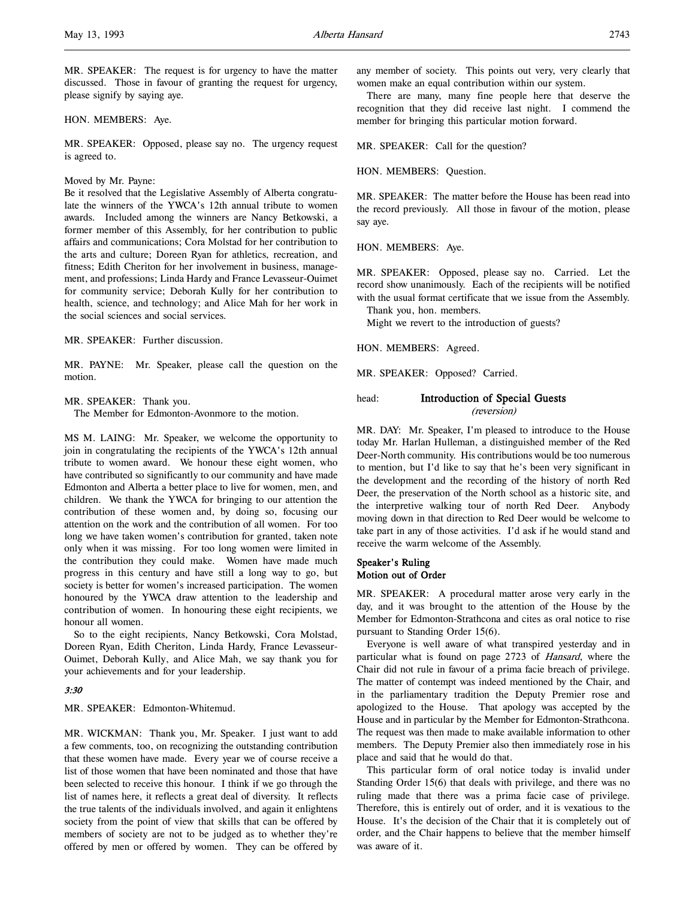MR. SPEAKER: The request is for urgency to have the matter discussed. Those in favour of granting the request for urgency, please signify by saying aye.

HON. MEMBERS: Aye.

MR. SPEAKER: Opposed, please say no. The urgency request is agreed to.

Moved by Mr. Payne:

Be it resolved that the Legislative Assembly of Alberta congratulate the winners of the YWCA's 12th annual tribute to women awards. Included among the winners are Nancy Betkowski, a former member of this Assembly, for her contribution to public affairs and communications; Cora Molstad for her contribution to the arts and culture; Doreen Ryan for athletics, recreation, and fitness; Edith Cheriton for her involvement in business, management, and professions; Linda Hardy and France Levasseur-Ouimet for community service; Deborah Kully for her contribution to health, science, and technology; and Alice Mah for her work in the social sciences and social services.

MR. SPEAKER: Further discussion.

MR. PAYNE: Mr. Speaker, please call the question on the motion.

MR. SPEAKER: Thank you.

The Member for Edmonton-Avonmore to the motion.

MS M. LAING: Mr. Speaker, we welcome the opportunity to join in congratulating the recipients of the YWCA's 12th annual tribute to women award. We honour these eight women, who have contributed so significantly to our community and have made Edmonton and Alberta a better place to live for women, men, and children. We thank the YWCA for bringing to our attention the contribution of these women and, by doing so, focusing our attention on the work and the contribution of all women. For too long we have taken women's contribution for granted, taken note only when it was missing. For too long women were limited in the contribution they could make. Women have made much progress in this century and have still a long way to go, but society is better for women's increased participation. The women honoured by the YWCA draw attention to the leadership and contribution of women. In honouring these eight recipients, we honour all women.

So to the eight recipients, Nancy Betkowski, Cora Molstad, Doreen Ryan, Edith Cheriton, Linda Hardy, France Levasseur-Ouimet, Deborah Kully, and Alice Mah, we say thank you for your achievements and for your leadership.

### 3:30

MR. SPEAKER: Edmonton-Whitemud.

MR. WICKMAN: Thank you, Mr. Speaker. I just want to add a few comments, too, on recognizing the outstanding contribution that these women have made. Every year we of course receive a list of those women that have been nominated and those that have been selected to receive this honour. I think if we go through the list of names here, it reflects a great deal of diversity. It reflects the true talents of the individuals involved, and again it enlightens society from the point of view that skills that can be offered by members of society are not to be judged as to whether they're offered by men or offered by women. They can be offered by

any member of society. This points out very, very clearly that women make an equal contribution within our system.

There are many, many fine people here that deserve the recognition that they did receive last night. I commend the member for bringing this particular motion forward.

MR. SPEAKER: Call for the question?

HON. MEMBERS: Question.

MR. SPEAKER: The matter before the House has been read into the record previously. All those in favour of the motion, please say aye.

HON. MEMBERS: Aye.

MR. SPEAKER: Opposed, please say no. Carried. Let the record show unanimously. Each of the recipients will be notified with the usual format certificate that we issue from the Assembly.

Thank you, hon. members.

Might we revert to the introduction of guests?

HON. MEMBERS: Agreed.

MR. SPEAKER: Opposed? Carried.

### head: **Introduction of Special Guests** (reversion)

MR. DAY: Mr. Speaker, I'm pleased to introduce to the House today Mr. Harlan Hulleman, a distinguished member of the Red Deer-North community. His contributions would be too numerous to mention, but I'd like to say that he's been very significant in the development and the recording of the history of north Red Deer, the preservation of the North school as a historic site, and the interpretive walking tour of north Red Deer. Anybody moving down in that direction to Red Deer would be welcome to take part in any of those activities. I'd ask if he would stand and receive the warm welcome of the Assembly.

### Speaker's Ruling Motion out of Order

MR. SPEAKER: A procedural matter arose very early in the day, and it was brought to the attention of the House by the Member for Edmonton-Strathcona and cites as oral notice to rise pursuant to Standing Order 15(6).

Everyone is well aware of what transpired yesterday and in particular what is found on page 2723 of Hansard, where the Chair did not rule in favour of a prima facie breach of privilege. The matter of contempt was indeed mentioned by the Chair, and in the parliamentary tradition the Deputy Premier rose and apologized to the House. That apology was accepted by the House and in particular by the Member for Edmonton-Strathcona. The request was then made to make available information to other members. The Deputy Premier also then immediately rose in his place and said that he would do that.

This particular form of oral notice today is invalid under Standing Order 15(6) that deals with privilege, and there was no ruling made that there was a prima facie case of privilege. Therefore, this is entirely out of order, and it is vexatious to the House. It's the decision of the Chair that it is completely out of order, and the Chair happens to believe that the member himself was aware of it.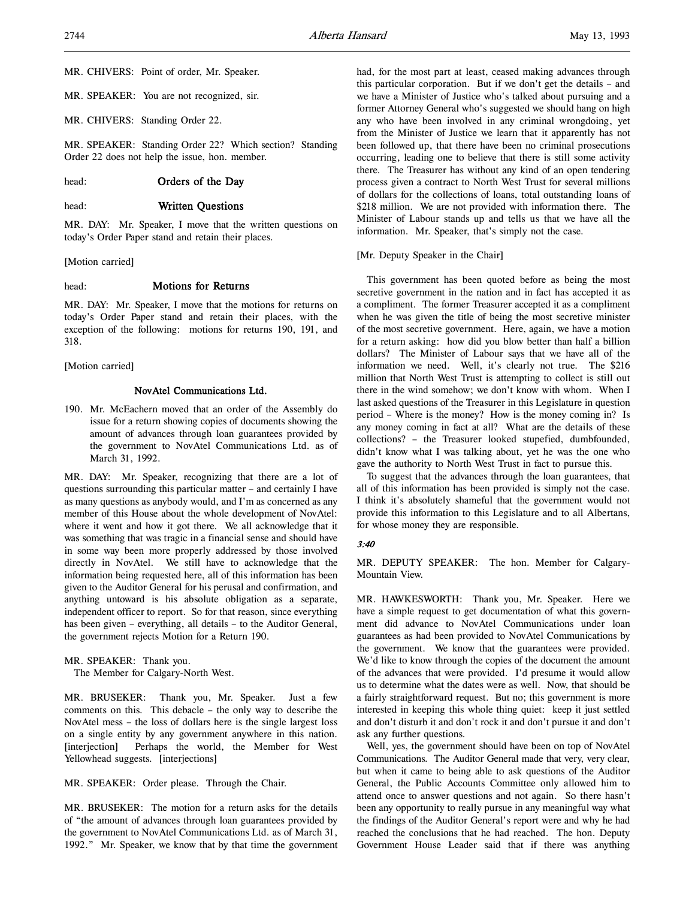MR. CHIVERS: Point of order, Mr. Speaker.

MR. SPEAKER: You are not recognized, sir.

MR. CHIVERS: Standing Order 22.

MR. SPEAKER: Standing Order 22? Which section? Standing Order 22 does not help the issue, hon. member.

### head: **Orders of the Day**

#### head: Written Questions

MR. DAY: Mr. Speaker, I move that the written questions on today's Order Paper stand and retain their places.

[Motion carried]

#### head: **Motions for Returns**

MR. DAY: Mr. Speaker, I move that the motions for returns on today's Order Paper stand and retain their places, with the exception of the following: motions for returns 190, 191, and 318.

[Motion carried]

### NovAtel Communications Ltd.

190. Mr. McEachern moved that an order of the Assembly do issue for a return showing copies of documents showing the amount of advances through loan guarantees provided by the government to NovAtel Communications Ltd. as of March 31, 1992.

MR. DAY: Mr. Speaker, recognizing that there are a lot of questions surrounding this particular matter – and certainly I have as many questions as anybody would, and I'm as concerned as any member of this House about the whole development of NovAtel: where it went and how it got there. We all acknowledge that it was something that was tragic in a financial sense and should have in some way been more properly addressed by those involved directly in NovAtel. We still have to acknowledge that the information being requested here, all of this information has been given to the Auditor General for his perusal and confirmation, and anything untoward is his absolute obligation as a separate, independent officer to report. So for that reason, since everything has been given – everything, all details – to the Auditor General, the government rejects Motion for a Return 190.

MR. SPEAKER: Thank you.

The Member for Calgary-North West.

MR. BRUSEKER: Thank you, Mr. Speaker. Just a few comments on this. This debacle – the only way to describe the NovAtel mess – the loss of dollars here is the single largest loss on a single entity by any government anywhere in this nation. [interjection] Perhaps the world, the Member for West Yellowhead suggests. [interjections]

MR. SPEAKER: Order please. Through the Chair.

MR. BRUSEKER: The motion for a return asks for the details of "the amount of advances through loan guarantees provided by the government to NovAtel Communications Ltd. as of March 31, 1992." Mr. Speaker, we know that by that time the government had, for the most part at least, ceased making advances through this particular corporation. But if we don't get the details – and we have a Minister of Justice who's talked about pursuing and a former Attorney General who's suggested we should hang on high any who have been involved in any criminal wrongdoing, yet from the Minister of Justice we learn that it apparently has not been followed up, that there have been no criminal prosecutions occurring, leading one to believe that there is still some activity there. The Treasurer has without any kind of an open tendering process given a contract to North West Trust for several millions of dollars for the collections of loans, total outstanding loans of \$218 million. We are not provided with information there. The Minister of Labour stands up and tells us that we have all the information. Mr. Speaker, that's simply not the case.

[Mr. Deputy Speaker in the Chair]

This government has been quoted before as being the most secretive government in the nation and in fact has accepted it as a compliment. The former Treasurer accepted it as a compliment when he was given the title of being the most secretive minister of the most secretive government. Here, again, we have a motion for a return asking: how did you blow better than half a billion dollars? The Minister of Labour says that we have all of the information we need. Well, it's clearly not true. The \$216 million that North West Trust is attempting to collect is still out there in the wind somehow; we don't know with whom. When I last asked questions of the Treasurer in this Legislature in question period – Where is the money? How is the money coming in? Is any money coming in fact at all? What are the details of these collections? – the Treasurer looked stupefied, dumbfounded, didn't know what I was talking about, yet he was the one who gave the authority to North West Trust in fact to pursue this.

To suggest that the advances through the loan guarantees, that all of this information has been provided is simply not the case. I think it's absolutely shameful that the government would not provide this information to this Legislature and to all Albertans, for whose money they are responsible.

#### 3:40

MR. DEPUTY SPEAKER: The hon. Member for Calgary-Mountain View.

MR. HAWKESWORTH: Thank you, Mr. Speaker. Here we have a simple request to get documentation of what this government did advance to NovAtel Communications under loan guarantees as had been provided to NovAtel Communications by the government. We know that the guarantees were provided. We'd like to know through the copies of the document the amount of the advances that were provided. I'd presume it would allow us to determine what the dates were as well. Now, that should be a fairly straightforward request. But no; this government is more interested in keeping this whole thing quiet: keep it just settled and don't disturb it and don't rock it and don't pursue it and don't ask any further questions.

Well, yes, the government should have been on top of NovAtel Communications. The Auditor General made that very, very clear, but when it came to being able to ask questions of the Auditor General, the Public Accounts Committee only allowed him to attend once to answer questions and not again. So there hasn't been any opportunity to really pursue in any meaningful way what the findings of the Auditor General's report were and why he had reached the conclusions that he had reached. The hon. Deputy Government House Leader said that if there was anything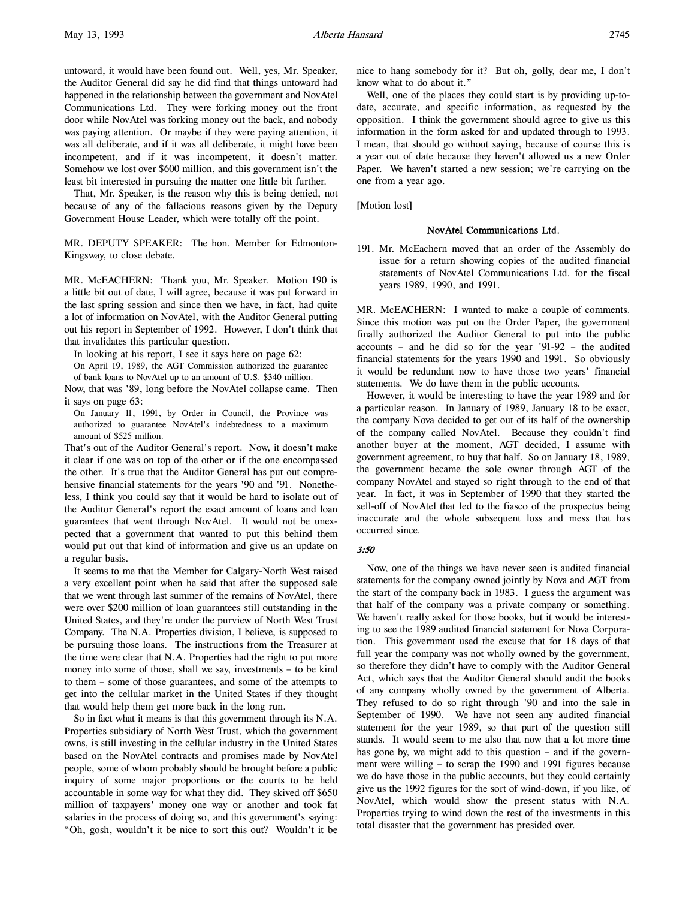untoward, it would have been found out. Well, yes, Mr. Speaker, the Auditor General did say he did find that things untoward had happened in the relationship between the government and NovAtel Communications Ltd. They were forking money out the front door while NovAtel was forking money out the back, and nobody was paying attention. Or maybe if they were paying attention, it was all deliberate, and if it was all deliberate, it might have been incompetent, and if it was incompetent, it doesn't matter. Somehow we lost over \$600 million, and this government isn't the least bit interested in pursuing the matter one little bit further.

That, Mr. Speaker, is the reason why this is being denied, not because of any of the fallacious reasons given by the Deputy Government House Leader, which were totally off the point.

MR. DEPUTY SPEAKER: The hon. Member for Edmonton-Kingsway, to close debate.

MR. McEACHERN: Thank you, Mr. Speaker. Motion 190 is a little bit out of date, I will agree, because it was put forward in the last spring session and since then we have, in fact, had quite a lot of information on NovAtel, with the Auditor General putting out his report in September of 1992. However, I don't think that that invalidates this particular question.

In looking at his report, I see it says here on page 62:

On April 19, 1989, the AGT Commission authorized the guarantee of bank loans to NovAtel up to an amount of U.S. \$340 million.

Now, that was '89, long before the NovAtel collapse came. Then it says on page 63:

On January 11, 1991, by Order in Council, the Province was authorized to guarantee NovAtel's indebtedness to a maximum amount of \$525 million.

That's out of the Auditor General's report. Now, it doesn't make it clear if one was on top of the other or if the one encompassed the other. It's true that the Auditor General has put out comprehensive financial statements for the years '90 and '91. Nonetheless, I think you could say that it would be hard to isolate out of the Auditor General's report the exact amount of loans and loan guarantees that went through NovAtel. It would not be unexpected that a government that wanted to put this behind them would put out that kind of information and give us an update on a regular basis.

It seems to me that the Member for Calgary-North West raised a very excellent point when he said that after the supposed sale that we went through last summer of the remains of NovAtel, there were over \$200 million of loan guarantees still outstanding in the United States, and they're under the purview of North West Trust Company. The N.A. Properties division, I believe, is supposed to be pursuing those loans. The instructions from the Treasurer at the time were clear that N.A. Properties had the right to put more money into some of those, shall we say, investments – to be kind to them – some of those guarantees, and some of the attempts to get into the cellular market in the United States if they thought that would help them get more back in the long run.

So in fact what it means is that this government through its N.A. Properties subsidiary of North West Trust, which the government owns, is still investing in the cellular industry in the United States based on the NovAtel contracts and promises made by NovAtel people, some of whom probably should be brought before a public inquiry of some major proportions or the courts to be held accountable in some way for what they did. They skived off \$650 million of taxpayers' money one way or another and took fat salaries in the process of doing so, and this government's saying: "Oh, gosh, wouldn't it be nice to sort this out? Wouldn't it be

nice to hang somebody for it? But oh, golly, dear me, I don't know what to do about it."

Well, one of the places they could start is by providing up-todate, accurate, and specific information, as requested by the opposition. I think the government should agree to give us this information in the form asked for and updated through to 1993. I mean, that should go without saying, because of course this is a year out of date because they haven't allowed us a new Order Paper. We haven't started a new session; we're carrying on the one from a year ago.

[Motion lost]

#### NovAtel Communications Ltd.

191. Mr. McEachern moved that an order of the Assembly do issue for a return showing copies of the audited financial statements of NovAtel Communications Ltd. for the fiscal years 1989, 1990, and 1991.

MR. McEACHERN: I wanted to make a couple of comments. Since this motion was put on the Order Paper, the government finally authorized the Auditor General to put into the public accounts – and he did so for the year '91-92 – the audited financial statements for the years 1990 and 1991. So obviously it would be redundant now to have those two years' financial statements. We do have them in the public accounts.

However, it would be interesting to have the year 1989 and for a particular reason. In January of 1989, January 18 to be exact, the company Nova decided to get out of its half of the ownership of the company called NovAtel. Because they couldn't find another buyer at the moment, AGT decided, I assume with government agreement, to buy that half. So on January 18, 1989, the government became the sole owner through AGT of the company NovAtel and stayed so right through to the end of that year. In fact, it was in September of 1990 that they started the sell-off of NovAtel that led to the fiasco of the prospectus being inaccurate and the whole subsequent loss and mess that has occurred since.

#### 3:50

Now, one of the things we have never seen is audited financial statements for the company owned jointly by Nova and AGT from the start of the company back in 1983. I guess the argument was that half of the company was a private company or something. We haven't really asked for those books, but it would be interesting to see the 1989 audited financial statement for Nova Corporation. This government used the excuse that for 18 days of that full year the company was not wholly owned by the government, so therefore they didn't have to comply with the Auditor General Act, which says that the Auditor General should audit the books of any company wholly owned by the government of Alberta. They refused to do so right through '90 and into the sale in September of 1990. We have not seen any audited financial statement for the year 1989, so that part of the question still stands. It would seem to me also that now that a lot more time has gone by, we might add to this question – and if the government were willing – to scrap the 1990 and 1991 figures because we do have those in the public accounts, but they could certainly give us the 1992 figures for the sort of wind-down, if you like, of NovAtel, which would show the present status with N.A. Properties trying to wind down the rest of the investments in this total disaster that the government has presided over.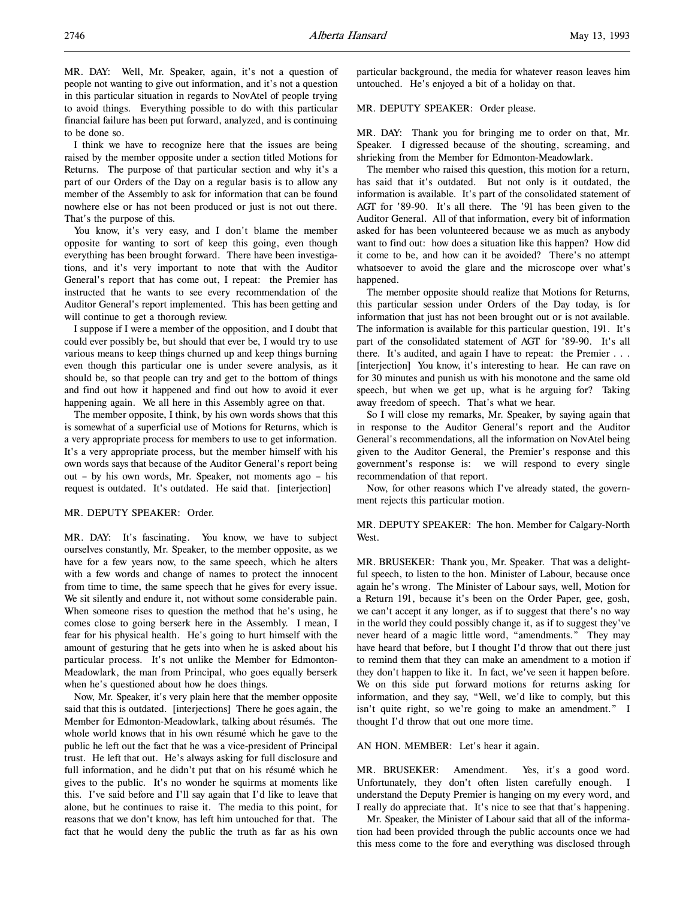MR. DAY: Well, Mr. Speaker, again, it's not a question of people not wanting to give out information, and it's not a question in this particular situation in regards to NovAtel of people trying to avoid things. Everything possible to do with this particular financial failure has been put forward, analyzed, and is continuing to be done so.

I think we have to recognize here that the issues are being raised by the member opposite under a section titled Motions for Returns. The purpose of that particular section and why it's a part of our Orders of the Day on a regular basis is to allow any member of the Assembly to ask for information that can be found nowhere else or has not been produced or just is not out there. That's the purpose of this.

You know, it's very easy, and I don't blame the member opposite for wanting to sort of keep this going, even though everything has been brought forward. There have been investigations, and it's very important to note that with the Auditor General's report that has come out, I repeat: the Premier has instructed that he wants to see every recommendation of the Auditor General's report implemented. This has been getting and will continue to get a thorough review.

I suppose if I were a member of the opposition, and I doubt that could ever possibly be, but should that ever be, I would try to use various means to keep things churned up and keep things burning even though this particular one is under severe analysis, as it should be, so that people can try and get to the bottom of things and find out how it happened and find out how to avoid it ever happening again. We all here in this Assembly agree on that.

The member opposite, I think, by his own words shows that this is somewhat of a superficial use of Motions for Returns, which is a very appropriate process for members to use to get information. It's a very appropriate process, but the member himself with his own words says that because of the Auditor General's report being out – by his own words, Mr. Speaker, not moments ago – his request is outdated. It's outdated. He said that. [interjection]

### MR. DEPUTY SPEAKER: Order.

MR. DAY: It's fascinating. You know, we have to subject ourselves constantly, Mr. Speaker, to the member opposite, as we have for a few years now, to the same speech, which he alters with a few words and change of names to protect the innocent from time to time, the same speech that he gives for every issue. We sit silently and endure it, not without some considerable pain. When someone rises to question the method that he's using, he comes close to going berserk here in the Assembly. I mean, I fear for his physical health. He's going to hurt himself with the amount of gesturing that he gets into when he is asked about his particular process. It's not unlike the Member for Edmonton-Meadowlark, the man from Principal, who goes equally berserk when he's questioned about how he does things.

Now, Mr. Speaker, it's very plain here that the member opposite said that this is outdated. [interjections] There he goes again, the Member for Edmonton-Meadowlark, talking about résumés. The whole world knows that in his own résumé which he gave to the public he left out the fact that he was a vice-president of Principal trust. He left that out. He's always asking for full disclosure and full information, and he didn't put that on his résumé which he gives to the public. It's no wonder he squirms at moments like this. I've said before and I'll say again that I'd like to leave that alone, but he continues to raise it. The media to this point, for reasons that we don't know, has left him untouched for that. The fact that he would deny the public the truth as far as his own

particular background, the media for whatever reason leaves him untouched. He's enjoyed a bit of a holiday on that.

### MR. DEPUTY SPEAKER: Order please.

MR. DAY: Thank you for bringing me to order on that, Mr. Speaker. I digressed because of the shouting, screaming, and shrieking from the Member for Edmonton-Meadowlark.

The member who raised this question, this motion for a return, has said that it's outdated. But not only is it outdated, the information is available. It's part of the consolidated statement of AGT for '89-90. It's all there. The '91 has been given to the Auditor General. All of that information, every bit of information asked for has been volunteered because we as much as anybody want to find out: how does a situation like this happen? How did it come to be, and how can it be avoided? There's no attempt whatsoever to avoid the glare and the microscope over what's happened.

The member opposite should realize that Motions for Returns, this particular session under Orders of the Day today, is for information that just has not been brought out or is not available. The information is available for this particular question, 191. It's part of the consolidated statement of AGT for '89-90. It's all there. It's audited, and again I have to repeat: the Premier . . . [interjection] You know, it's interesting to hear. He can rave on for 30 minutes and punish us with his monotone and the same old speech, but when we get up, what is he arguing for? Taking away freedom of speech. That's what we hear.

So I will close my remarks, Mr. Speaker, by saying again that in response to the Auditor General's report and the Auditor General's recommendations, all the information on NovAtel being given to the Auditor General, the Premier's response and this government's response is: we will respond to every single recommendation of that report.

Now, for other reasons which I've already stated, the government rejects this particular motion.

### MR. DEPUTY SPEAKER: The hon. Member for Calgary-North West.

MR. BRUSEKER: Thank you, Mr. Speaker. That was a delightful speech, to listen to the hon. Minister of Labour, because once again he's wrong. The Minister of Labour says, well, Motion for a Return 191, because it's been on the Order Paper, gee, gosh, we can't accept it any longer, as if to suggest that there's no way in the world they could possibly change it, as if to suggest they've never heard of a magic little word, "amendments." They may have heard that before, but I thought I'd throw that out there just to remind them that they can make an amendment to a motion if they don't happen to like it. In fact, we've seen it happen before. We on this side put forward motions for returns asking for information, and they say, "Well, we'd like to comply, but this isn't quite right, so we're going to make an amendment." I thought I'd throw that out one more time.

#### AN HON. MEMBER: Let's hear it again.

MR. BRUSEKER: Amendment. Yes, it's a good word. Unfortunately, they don't often listen carefully enough. I understand the Deputy Premier is hanging on my every word, and I really do appreciate that. It's nice to see that that's happening.

Mr. Speaker, the Minister of Labour said that all of the information had been provided through the public accounts once we had this mess come to the fore and everything was disclosed through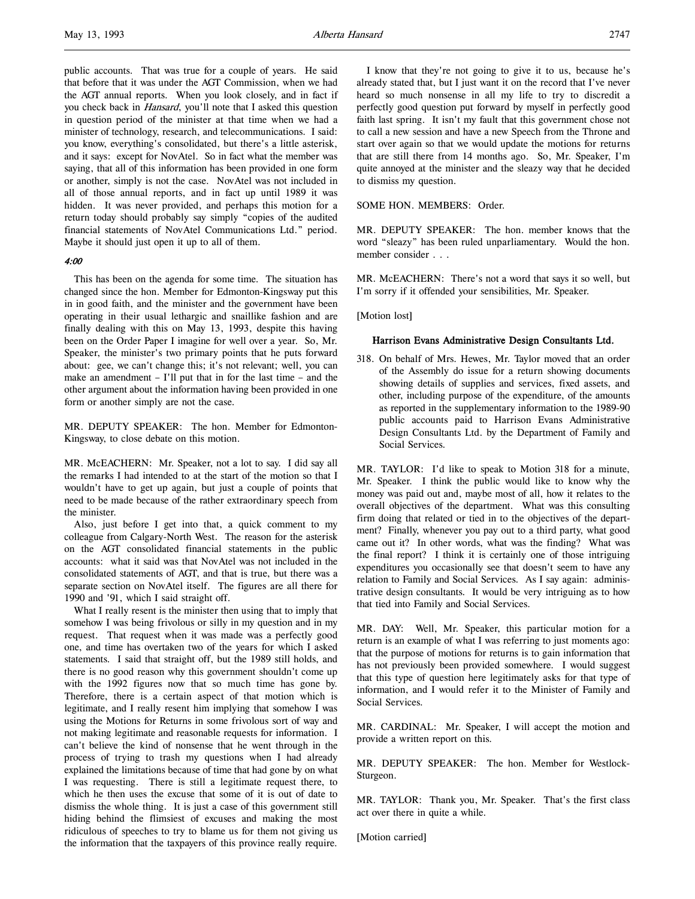public accounts. That was true for a couple of years. He said that before that it was under the AGT Commission, when we had the AGT annual reports. When you look closely, and in fact if you check back in *Hansard*, you'll note that I asked this question in question period of the minister at that time when we had a minister of technology, research, and telecommunications. I said: you know, everything's consolidated, but there's a little asterisk, and it says: except for NovAtel. So in fact what the member was saying, that all of this information has been provided in one form or another, simply is not the case. NovAtel was not included in all of those annual reports, and in fact up until 1989 it was hidden. It was never provided, and perhaps this motion for a return today should probably say simply "copies of the audited financial statements of NovAtel Communications Ltd." period. Maybe it should just open it up to all of them.

### 4:00

This has been on the agenda for some time. The situation has changed since the hon. Member for Edmonton-Kingsway put this in in good faith, and the minister and the government have been operating in their usual lethargic and snaillike fashion and are finally dealing with this on May 13, 1993, despite this having been on the Order Paper I imagine for well over a year. So, Mr. Speaker, the minister's two primary points that he puts forward about: gee, we can't change this; it's not relevant; well, you can make an amendment – I'll put that in for the last time – and the other argument about the information having been provided in one form or another simply are not the case.

MR. DEPUTY SPEAKER: The hon. Member for Edmonton-Kingsway, to close debate on this motion.

MR. McEACHERN: Mr. Speaker, not a lot to say. I did say all the remarks I had intended to at the start of the motion so that I wouldn't have to get up again, but just a couple of points that need to be made because of the rather extraordinary speech from the minister.

Also, just before I get into that, a quick comment to my colleague from Calgary-North West. The reason for the asterisk on the AGT consolidated financial statements in the public accounts: what it said was that NovAtel was not included in the consolidated statements of AGT, and that is true, but there was a separate section on NovAtel itself. The figures are all there for 1990 and '91, which I said straight off.

What I really resent is the minister then using that to imply that somehow I was being frivolous or silly in my question and in my request. That request when it was made was a perfectly good one, and time has overtaken two of the years for which I asked statements. I said that straight off, but the 1989 still holds, and there is no good reason why this government shouldn't come up with the 1992 figures now that so much time has gone by. Therefore, there is a certain aspect of that motion which is legitimate, and I really resent him implying that somehow I was using the Motions for Returns in some frivolous sort of way and not making legitimate and reasonable requests for information. I can't believe the kind of nonsense that he went through in the process of trying to trash my questions when I had already explained the limitations because of time that had gone by on what I was requesting. There is still a legitimate request there, to which he then uses the excuse that some of it is out of date to dismiss the whole thing. It is just a case of this government still hiding behind the flimsiest of excuses and making the most ridiculous of speeches to try to blame us for them not giving us the information that the taxpayers of this province really require.

I know that they're not going to give it to us, because he's already stated that, but I just want it on the record that I've never heard so much nonsense in all my life to try to discredit a perfectly good question put forward by myself in perfectly good faith last spring. It isn't my fault that this government chose not to call a new session and have a new Speech from the Throne and start over again so that we would update the motions for returns that are still there from 14 months ago. So, Mr. Speaker, I'm quite annoyed at the minister and the sleazy way that he decided to dismiss my question.

#### SOME HON. MEMBERS: Order.

MR. DEPUTY SPEAKER: The hon. member knows that the word "sleazy" has been ruled unparliamentary. Would the hon. member consider . . .

MR. McEACHERN: There's not a word that says it so well, but I'm sorry if it offended your sensibilities, Mr. Speaker.

[Motion lost]

#### Harrison Evans Administrative Design Consultants Ltd.

318. On behalf of Mrs. Hewes, Mr. Taylor moved that an order of the Assembly do issue for a return showing documents showing details of supplies and services, fixed assets, and other, including purpose of the expenditure, of the amounts as reported in the supplementary information to the 1989-90 public accounts paid to Harrison Evans Administrative Design Consultants Ltd. by the Department of Family and Social Services.

MR. TAYLOR: I'd like to speak to Motion 318 for a minute, Mr. Speaker. I think the public would like to know why the money was paid out and, maybe most of all, how it relates to the overall objectives of the department. What was this consulting firm doing that related or tied in to the objectives of the department? Finally, whenever you pay out to a third party, what good came out it? In other words, what was the finding? What was the final report? I think it is certainly one of those intriguing expenditures you occasionally see that doesn't seem to have any relation to Family and Social Services. As I say again: administrative design consultants. It would be very intriguing as to how that tied into Family and Social Services.

MR. DAY: Well, Mr. Speaker, this particular motion for a return is an example of what I was referring to just moments ago: that the purpose of motions for returns is to gain information that has not previously been provided somewhere. I would suggest that this type of question here legitimately asks for that type of information, and I would refer it to the Minister of Family and Social Services.

MR. CARDINAL: Mr. Speaker, I will accept the motion and provide a written report on this.

MR. DEPUTY SPEAKER: The hon. Member for Westlock-Sturgeon.

MR. TAYLOR: Thank you, Mr. Speaker. That's the first class act over there in quite a while.

[Motion carried]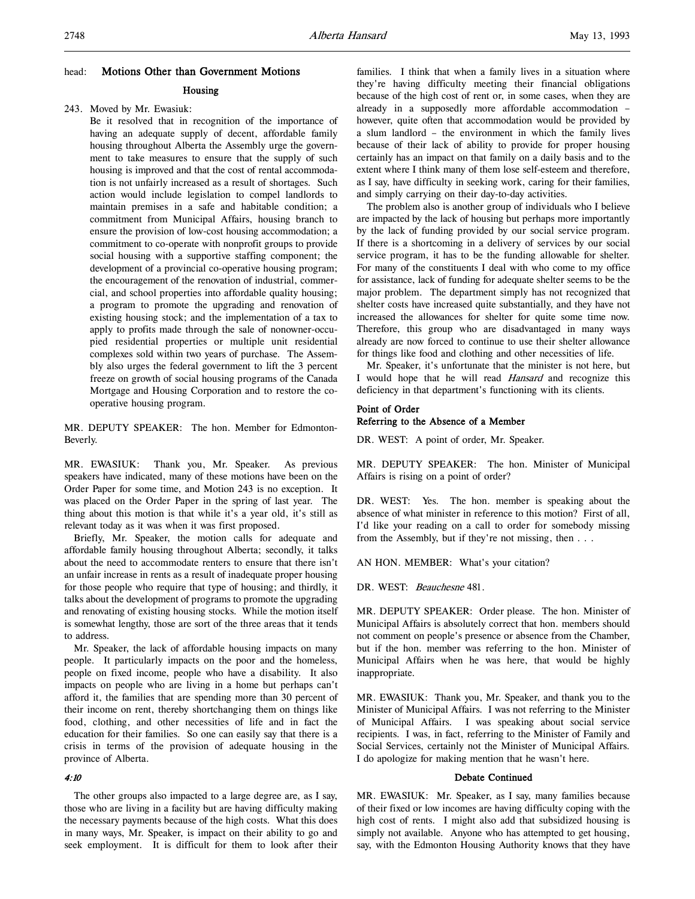#### head: Motions Other than Government Motions

### Housing

#### 243. Moved by Mr. Ewasiuk:

Be it resolved that in recognition of the importance of having an adequate supply of decent, affordable family housing throughout Alberta the Assembly urge the government to take measures to ensure that the supply of such housing is improved and that the cost of rental accommodation is not unfairly increased as a result of shortages. Such action would include legislation to compel landlords to maintain premises in a safe and habitable condition; a commitment from Municipal Affairs, housing branch to ensure the provision of low-cost housing accommodation; a commitment to co-operate with nonprofit groups to provide social housing with a supportive staffing component; the development of a provincial co-operative housing program; the encouragement of the renovation of industrial, commercial, and school properties into affordable quality housing; a program to promote the upgrading and renovation of existing housing stock; and the implementation of a tax to apply to profits made through the sale of nonowner-occupied residential properties or multiple unit residential complexes sold within two years of purchase. The Assembly also urges the federal government to lift the 3 percent freeze on growth of social housing programs of the Canada Mortgage and Housing Corporation and to restore the cooperative housing program.

MR. DEPUTY SPEAKER: The hon. Member for Edmonton-Beverly.

MR. EWASIUK: Thank you, Mr. Speaker. As previous speakers have indicated, many of these motions have been on the Order Paper for some time, and Motion 243 is no exception. It was placed on the Order Paper in the spring of last year. The thing about this motion is that while it's a year old, it's still as relevant today as it was when it was first proposed.

Briefly, Mr. Speaker, the motion calls for adequate and affordable family housing throughout Alberta; secondly, it talks about the need to accommodate renters to ensure that there isn't an unfair increase in rents as a result of inadequate proper housing for those people who require that type of housing; and thirdly, it talks about the development of programs to promote the upgrading and renovating of existing housing stocks. While the motion itself is somewhat lengthy, those are sort of the three areas that it tends to address.

Mr. Speaker, the lack of affordable housing impacts on many people. It particularly impacts on the poor and the homeless, people on fixed income, people who have a disability. It also impacts on people who are living in a home but perhaps can't afford it, the families that are spending more than 30 percent of their income on rent, thereby shortchanging them on things like food, clothing, and other necessities of life and in fact the education for their families. So one can easily say that there is a crisis in terms of the provision of adequate housing in the province of Alberta.

### 4:10

The other groups also impacted to a large degree are, as I say, those who are living in a facility but are having difficulty making the necessary payments because of the high costs. What this does in many ways, Mr. Speaker, is impact on their ability to go and seek employment. It is difficult for them to look after their families. I think that when a family lives in a situation where they're having difficulty meeting their financial obligations because of the high cost of rent or, in some cases, when they are already in a supposedly more affordable accommodation – however, quite often that accommodation would be provided by a slum landlord – the environment in which the family lives because of their lack of ability to provide for proper housing certainly has an impact on that family on a daily basis and to the extent where I think many of them lose self-esteem and therefore, as I say, have difficulty in seeking work, caring for their families, and simply carrying on their day-to-day activities.

The problem also is another group of individuals who I believe are impacted by the lack of housing but perhaps more importantly by the lack of funding provided by our social service program. If there is a shortcoming in a delivery of services by our social service program, it has to be the funding allowable for shelter. For many of the constituents I deal with who come to my office for assistance, lack of funding for adequate shelter seems to be the major problem. The department simply has not recognized that shelter costs have increased quite substantially, and they have not increased the allowances for shelter for quite some time now. Therefore, this group who are disadvantaged in many ways already are now forced to continue to use their shelter allowance for things like food and clothing and other necessities of life.

Mr. Speaker, it's unfortunate that the minister is not here, but I would hope that he will read Hansard and recognize this deficiency in that department's functioning with its clients.

#### Point of Order Referring to the Absence of a Member

DR. WEST: A point of order, Mr. Speaker.

MR. DEPUTY SPEAKER: The hon. Minister of Municipal Affairs is rising on a point of order?

DR. WEST: Yes. The hon. member is speaking about the absence of what minister in reference to this motion? First of all, I'd like your reading on a call to order for somebody missing from the Assembly, but if they're not missing, then . . .

AN HON. MEMBER: What's your citation?

DR. WEST: Beauchesne 481.

MR. DEPUTY SPEAKER: Order please. The hon. Minister of Municipal Affairs is absolutely correct that hon. members should not comment on people's presence or absence from the Chamber, but if the hon. member was referring to the hon. Minister of Municipal Affairs when he was here, that would be highly inappropriate.

MR. EWASIUK: Thank you, Mr. Speaker, and thank you to the Minister of Municipal Affairs. I was not referring to the Minister of Municipal Affairs. I was speaking about social service recipients. I was, in fact, referring to the Minister of Family and Social Services, certainly not the Minister of Municipal Affairs. I do apologize for making mention that he wasn't here.

### Debate Continued

MR. EWASIUK: Mr. Speaker, as I say, many families because of their fixed or low incomes are having difficulty coping with the high cost of rents. I might also add that subsidized housing is simply not available. Anyone who has attempted to get housing, say, with the Edmonton Housing Authority knows that they have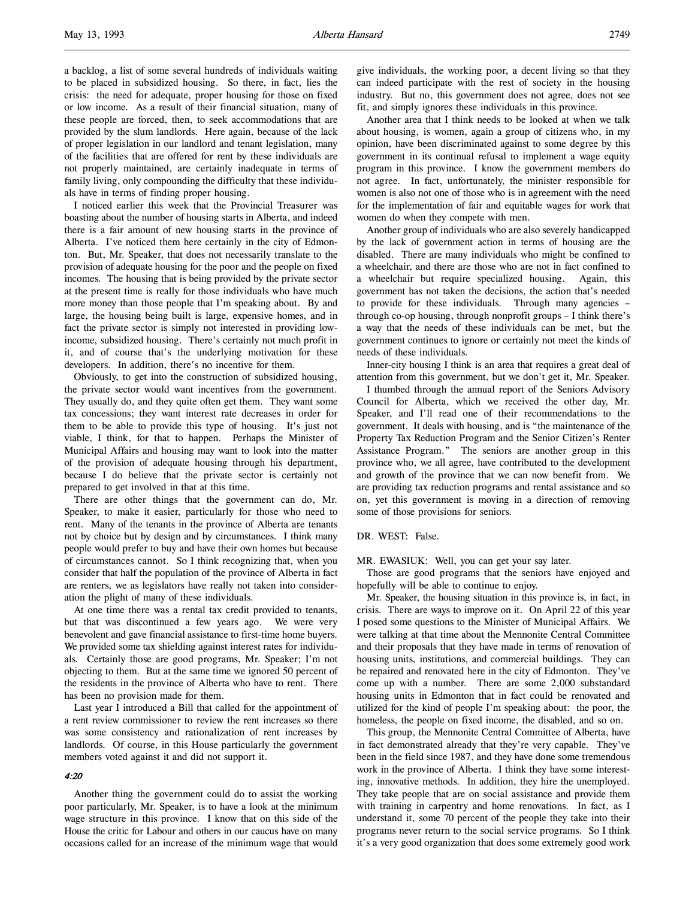a backlog, a list of some several hundreds of individuals waiting to be placed in subsidized housing. So there, in fact, lies the crisis: the need for adequate, proper housing for those on fixed or low income. As a result of their financial situation, many of these people are forced, then, to seek accommodations that are provided by the slum landlords. Here again, because of the lack of proper legislation in our landlord and tenant legislation, many of the facilities that are offered for rent by these individuals are not properly maintained, are certainly inadequate in terms of family living, only compounding the difficulty that these individuals have in terms of finding proper housing.

I noticed earlier this week that the Provincial Treasurer was boasting about the number of housing starts in Alberta, and indeed there is a fair amount of new housing starts in the province of Alberta. I've noticed them here certainly in the city of Edmonton. But, Mr. Speaker, that does not necessarily translate to the provision of adequate housing for the poor and the people on fixed incomes. The housing that is being provided by the private sector at the present time is really for those individuals who have much more money than those people that I'm speaking about. By and large, the housing being built is large, expensive homes, and in fact the private sector is simply not interested in providing lowincome, subsidized housing. There's certainly not much profit in it, and of course that's the underlying motivation for these developers. In addition, there's no incentive for them.

Obviously, to get into the construction of subsidized housing, the private sector would want incentives from the government. They usually do, and they quite often get them. They want some tax concessions; they want interest rate decreases in order for them to be able to provide this type of housing. It's just not viable, I think, for that to happen. Perhaps the Minister of Municipal Affairs and housing may want to look into the matter of the provision of adequate housing through his department, because I do believe that the private sector is certainly not prepared to get involved in that at this time.

There are other things that the government can do, Mr. Speaker, to make it easier, particularly for those who need to rent. Many of the tenants in the province of Alberta are tenants not by choice but by design and by circumstances. I think many people would prefer to buy and have their own homes but because of circumstances cannot. So I think recognizing that, when you consider that half the population of the province of Alberta in fact are renters, we as legislators have really not taken into consideration the plight of many of these individuals.

At one time there was a rental tax credit provided to tenants, but that was discontinued a few years ago. We were very benevolent and gave financial assistance to first-time home buyers. We provided some tax shielding against interest rates for individuals. Certainly those are good programs, Mr. Speaker; I'm not objecting to them. But at the same time we ignored 50 percent of the residents in the province of Alberta who have to rent. There has been no provision made for them.

Last year I introduced a Bill that called for the appointment of a rent review commissioner to review the rent increases so there was some consistency and rationalization of rent increases by landlords. Of course, in this House particularly the government members voted against it and did not support it.

#### 4:20

Another thing the government could do to assist the working poor particularly, Mr. Speaker, is to have a look at the minimum wage structure in this province. I know that on this side of the House the critic for Labour and others in our caucus have on many occasions called for an increase of the minimum wage that would

give individuals, the working poor, a decent living so that they can indeed participate with the rest of society in the housing industry. But no, this government does not agree, does not see fit, and simply ignores these individuals in this province.

Another area that I think needs to be looked at when we talk about housing, is women, again a group of citizens who, in my opinion, have been discriminated against to some degree by this government in its continual refusal to implement a wage equity program in this province. I know the government members do not agree. In fact, unfortunately, the minister responsible for women is also not one of those who is in agreement with the need for the implementation of fair and equitable wages for work that women do when they compete with men.

Another group of individuals who are also severely handicapped by the lack of government action in terms of housing are the disabled. There are many individuals who might be confined to a wheelchair, and there are those who are not in fact confined to a wheelchair but require specialized housing. Again, this government has not taken the decisions, the action that's needed to provide for these individuals. Through many agencies – through co-op housing, through nonprofit groups – I think there's a way that the needs of these individuals can be met, but the government continues to ignore or certainly not meet the kinds of needs of these individuals.

Inner-city housing I think is an area that requires a great deal of attention from this government, but we don't get it, Mr. Speaker.

I thumbed through the annual report of the Seniors Advisory Council for Alberta, which we received the other day, Mr. Speaker, and I'll read one of their recommendations to the government. It deals with housing, and is "the maintenance of the Property Tax Reduction Program and the Senior Citizen's Renter Assistance Program." The seniors are another group in this province who, we all agree, have contributed to the development and growth of the province that we can now benefit from. We are providing tax reduction programs and rental assistance and so on, yet this government is moving in a direction of removing some of those provisions for seniors.

DR. WEST: False.

MR. EWASIUK: Well, you can get your say later.

Those are good programs that the seniors have enjoyed and hopefully will be able to continue to enjoy.

Mr. Speaker, the housing situation in this province is, in fact, in crisis. There are ways to improve on it. On April 22 of this year I posed some questions to the Minister of Municipal Affairs. We were talking at that time about the Mennonite Central Committee and their proposals that they have made in terms of renovation of housing units, institutions, and commercial buildings. They can be repaired and renovated here in the city of Edmonton. They've come up with a number. There are some 2,000 substandard housing units in Edmonton that in fact could be renovated and utilized for the kind of people I'm speaking about: the poor, the homeless, the people on fixed income, the disabled, and so on.

This group, the Mennonite Central Committee of Alberta, have in fact demonstrated already that they're very capable. They've been in the field since 1987, and they have done some tremendous work in the province of Alberta. I think they have some interesting, innovative methods. In addition, they hire the unemployed. They take people that are on social assistance and provide them with training in carpentry and home renovations. In fact, as I understand it, some 70 percent of the people they take into their programs never return to the social service programs. So I think it's a very good organization that does some extremely good work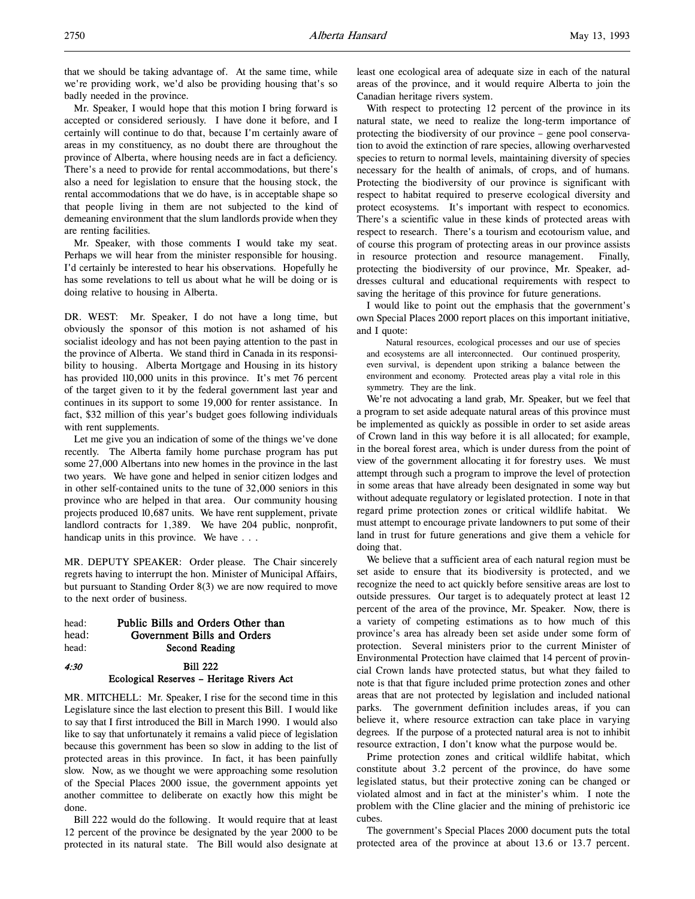that we should be taking advantage of. At the same time, while we're providing work, we'd also be providing housing that's so badly needed in the province.

Mr. Speaker, I would hope that this motion I bring forward is accepted or considered seriously. I have done it before, and I certainly will continue to do that, because I'm certainly aware of areas in my constituency, as no doubt there are throughout the province of Alberta, where housing needs are in fact a deficiency. There's a need to provide for rental accommodations, but there's also a need for legislation to ensure that the housing stock, the rental accommodations that we do have, is in acceptable shape so that people living in them are not subjected to the kind of demeaning environment that the slum landlords provide when they are renting facilities.

Mr. Speaker, with those comments I would take my seat. Perhaps we will hear from the minister responsible for housing. I'd certainly be interested to hear his observations. Hopefully he has some revelations to tell us about what he will be doing or is doing relative to housing in Alberta.

DR. WEST: Mr. Speaker, I do not have a long time, but obviously the sponsor of this motion is not ashamed of his socialist ideology and has not been paying attention to the past in the province of Alberta. We stand third in Canada in its responsibility to housing. Alberta Mortgage and Housing in its history has provided 110,000 units in this province. It's met 76 percent of the target given to it by the federal government last year and continues in its support to some 19,000 for renter assistance. In fact, \$32 million of this year's budget goes following individuals with rent supplements.

Let me give you an indication of some of the things we've done recently. The Alberta family home purchase program has put some 27,000 Albertans into new homes in the province in the last two years. We have gone and helped in senior citizen lodges and in other self-contained units to the tune of 32,000 seniors in this province who are helped in that area. Our community housing projects produced 10,687 units. We have rent supplement, private landlord contracts for 1,389. We have 204 public, nonprofit, handicap units in this province. We have . . .

MR. DEPUTY SPEAKER: Order please. The Chair sincerely regrets having to interrupt the hon. Minister of Municipal Affairs, but pursuant to Standing Order 8(3) we are now required to move to the next order of business.

| head: | Public Bills and Orders Other than |  |
|-------|------------------------------------|--|
| head: | Government Bills and Orders        |  |
| head: | Second Reading                     |  |

### 4:30 Bill 222 Ecological Reserves – Heritage Rivers Act

MR. MITCHELL: Mr. Speaker, I rise for the second time in this Legislature since the last election to present this Bill. I would like to say that I first introduced the Bill in March 1990. I would also like to say that unfortunately it remains a valid piece of legislation because this government has been so slow in adding to the list of protected areas in this province. In fact, it has been painfully slow. Now, as we thought we were approaching some resolution of the Special Places 2000 issue, the government appoints yet another committee to deliberate on exactly how this might be done.

Bill 222 would do the following. It would require that at least 12 percent of the province be designated by the year 2000 to be protected in its natural state. The Bill would also designate at least one ecological area of adequate size in each of the natural areas of the province, and it would require Alberta to join the Canadian heritage rivers system.

With respect to protecting 12 percent of the province in its natural state, we need to realize the long-term importance of protecting the biodiversity of our province – gene pool conservation to avoid the extinction of rare species, allowing overharvested species to return to normal levels, maintaining diversity of species necessary for the health of animals, of crops, and of humans. Protecting the biodiversity of our province is significant with respect to habitat required to preserve ecological diversity and protect ecosystems. It's important with respect to economics. There's a scientific value in these kinds of protected areas with respect to research. There's a tourism and ecotourism value, and of course this program of protecting areas in our province assists in resource protection and resource management. Finally, protecting the biodiversity of our province, Mr. Speaker, addresses cultural and educational requirements with respect to saving the heritage of this province for future generations.

I would like to point out the emphasis that the government's own Special Places 2000 report places on this important initiative, and I quote:

Natural resources, ecological processes and our use of species and ecosystems are all interconnected. Our continued prosperity, even survival, is dependent upon striking a balance between the environment and economy. Protected areas play a vital role in this symmetry. They are the link.

We're not advocating a land grab, Mr. Speaker, but we feel that a program to set aside adequate natural areas of this province must be implemented as quickly as possible in order to set aside areas of Crown land in this way before it is all allocated; for example, in the boreal forest area, which is under duress from the point of view of the government allocating it for forestry uses. We must attempt through such a program to improve the level of protection in some areas that have already been designated in some way but without adequate regulatory or legislated protection. I note in that regard prime protection zones or critical wildlife habitat. We must attempt to encourage private landowners to put some of their land in trust for future generations and give them a vehicle for doing that.

We believe that a sufficient area of each natural region must be set aside to ensure that its biodiversity is protected, and we recognize the need to act quickly before sensitive areas are lost to outside pressures. Our target is to adequately protect at least 12 percent of the area of the province, Mr. Speaker. Now, there is a variety of competing estimations as to how much of this province's area has already been set aside under some form of protection. Several ministers prior to the current Minister of Environmental Protection have claimed that 14 percent of provincial Crown lands have protected status, but what they failed to note is that that figure included prime protection zones and other areas that are not protected by legislation and included national parks. The government definition includes areas, if you can believe it, where resource extraction can take place in varying degrees. If the purpose of a protected natural area is not to inhibit resource extraction, I don't know what the purpose would be.

Prime protection zones and critical wildlife habitat, which constitute about 3.2 percent of the province, do have some legislated status, but their protective zoning can be changed or violated almost and in fact at the minister's whim. I note the problem with the Cline glacier and the mining of prehistoric ice cubes.

The government's Special Places 2000 document puts the total protected area of the province at about 13.6 or 13.7 percent.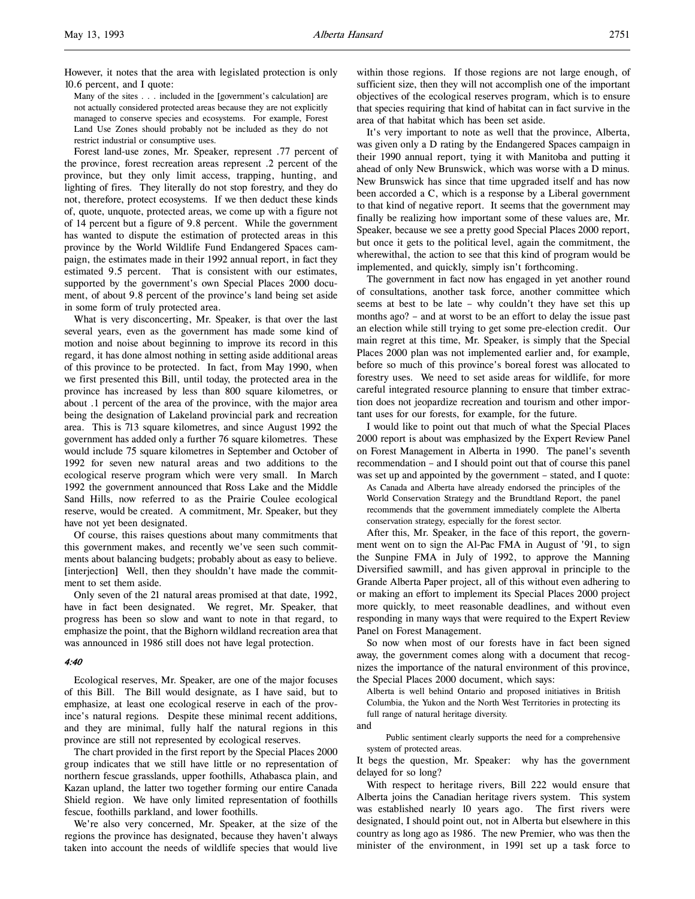However, it notes that the area with legislated protection is only 10.6 percent, and I quote:

Many of the sites . . . included in the [government's calculation] are not actually considered protected areas because they are not explicitly managed to conserve species and ecosystems. For example, Forest Land Use Zones should probably not be included as they do not restrict industrial or consumptive uses.

Forest land-use zones, Mr. Speaker, represent .77 percent of the province, forest recreation areas represent .2 percent of the province, but they only limit access, trapping, hunting, and lighting of fires. They literally do not stop forestry, and they do not, therefore, protect ecosystems. If we then deduct these kinds of, quote, unquote, protected areas, we come up with a figure not of 14 percent but a figure of 9.8 percent. While the government has wanted to dispute the estimation of protected areas in this province by the World Wildlife Fund Endangered Spaces campaign, the estimates made in their 1992 annual report, in fact they estimated 9.5 percent. That is consistent with our estimates, supported by the government's own Special Places 2000 document, of about 9.8 percent of the province's land being set aside in some form of truly protected area.

What is very disconcerting, Mr. Speaker, is that over the last several years, even as the government has made some kind of motion and noise about beginning to improve its record in this regard, it has done almost nothing in setting aside additional areas of this province to be protected. In fact, from May 1990, when we first presented this Bill, until today, the protected area in the province has increased by less than 800 square kilometres, or about .1 percent of the area of the province, with the major area being the designation of Lakeland provincial park and recreation area. This is 713 square kilometres, and since August 1992 the government has added only a further 76 square kilometres. These would include 75 square kilometres in September and October of 1992 for seven new natural areas and two additions to the ecological reserve program which were very small. In March 1992 the government announced that Ross Lake and the Middle Sand Hills, now referred to as the Prairie Coulee ecological reserve, would be created. A commitment, Mr. Speaker, but they have not yet been designated.

Of course, this raises questions about many commitments that this government makes, and recently we've seen such commitments about balancing budgets; probably about as easy to believe. [interjection] Well, then they shouldn't have made the commitment to set them aside.

Only seven of the 21 natural areas promised at that date, 1992, have in fact been designated. We regret, Mr. Speaker, that progress has been so slow and want to note in that regard, to emphasize the point, that the Bighorn wildland recreation area that was announced in 1986 still does not have legal protection.

#### 4:40

Ecological reserves, Mr. Speaker, are one of the major focuses of this Bill. The Bill would designate, as I have said, but to emphasize, at least one ecological reserve in each of the province's natural regions. Despite these minimal recent additions, and they are minimal, fully half the natural regions in this province are still not represented by ecological reserves.

The chart provided in the first report by the Special Places 2000 group indicates that we still have little or no representation of northern fescue grasslands, upper foothills, Athabasca plain, and Kazan upland, the latter two together forming our entire Canada Shield region. We have only limited representation of foothills fescue, foothills parkland, and lower foothills.

We're also very concerned, Mr. Speaker, at the size of the regions the province has designated, because they haven't always taken into account the needs of wildlife species that would live

within those regions. If those regions are not large enough, of sufficient size, then they will not accomplish one of the important objectives of the ecological reserves program, which is to ensure that species requiring that kind of habitat can in fact survive in the area of that habitat which has been set aside.

It's very important to note as well that the province, Alberta, was given only a D rating by the Endangered Spaces campaign in their 1990 annual report, tying it with Manitoba and putting it ahead of only New Brunswick, which was worse with a D minus. New Brunswick has since that time upgraded itself and has now been accorded a C, which is a response by a Liberal government to that kind of negative report. It seems that the government may finally be realizing how important some of these values are, Mr. Speaker, because we see a pretty good Special Places 2000 report, but once it gets to the political level, again the commitment, the wherewithal, the action to see that this kind of program would be implemented, and quickly, simply isn't forthcoming.

The government in fact now has engaged in yet another round of consultations, another task force, another committee which seems at best to be late – why couldn't they have set this up months ago? – and at worst to be an effort to delay the issue past an election while still trying to get some pre-election credit. Our main regret at this time, Mr. Speaker, is simply that the Special Places 2000 plan was not implemented earlier and, for example, before so much of this province's boreal forest was allocated to forestry uses. We need to set aside areas for wildlife, for more careful integrated resource planning to ensure that timber extraction does not jeopardize recreation and tourism and other important uses for our forests, for example, for the future.

I would like to point out that much of what the Special Places 2000 report is about was emphasized by the Expert Review Panel on Forest Management in Alberta in 1990. The panel's seventh recommendation – and I should point out that of course this panel was set up and appointed by the government – stated, and I quote:

As Canada and Alberta have already endorsed the principles of the World Conservation Strategy and the Brundtland Report, the panel recommends that the government immediately complete the Alberta conservation strategy, especially for the forest sector.

After this, Mr. Speaker, in the face of this report, the government went on to sign the Al-Pac FMA in August of '91, to sign the Sunpine FMA in July of 1992, to approve the Manning Diversified sawmill, and has given approval in principle to the Grande Alberta Paper project, all of this without even adhering to or making an effort to implement its Special Places 2000 project more quickly, to meet reasonable deadlines, and without even responding in many ways that were required to the Expert Review Panel on Forest Management.

So now when most of our forests have in fact been signed away, the government comes along with a document that recognizes the importance of the natural environment of this province, the Special Places 2000 document, which says:

Alberta is well behind Ontario and proposed initiatives in British Columbia, the Yukon and the North West Territories in protecting its full range of natural heritage diversity.

and

Public sentiment clearly supports the need for a comprehensive system of protected areas.

It begs the question, Mr. Speaker: why has the government delayed for so long?

With respect to heritage rivers, Bill 222 would ensure that Alberta joins the Canadian heritage rivers system. This system was established nearly 10 years ago. The first rivers were designated, I should point out, not in Alberta but elsewhere in this country as long ago as 1986. The new Premier, who was then the minister of the environment, in 1991 set up a task force to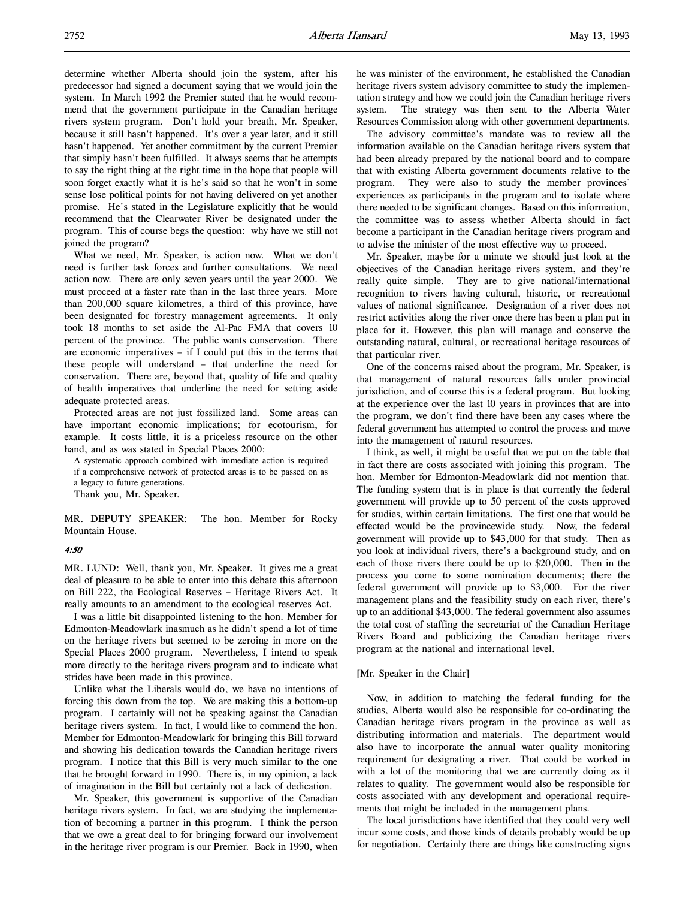determine whether Alberta should join the system, after his predecessor had signed a document saying that we would join the system. In March 1992 the Premier stated that he would recommend that the government participate in the Canadian heritage rivers system program. Don't hold your breath, Mr. Speaker, because it still hasn't happened. It's over a year later, and it still hasn't happened. Yet another commitment by the current Premier that simply hasn't been fulfilled. It always seems that he attempts to say the right thing at the right time in the hope that people will soon forget exactly what it is he's said so that he won't in some sense lose political points for not having delivered on yet another promise. He's stated in the Legislature explicitly that he would recommend that the Clearwater River be designated under the

joined the program? What we need, Mr. Speaker, is action now. What we don't need is further task forces and further consultations. We need action now. There are only seven years until the year 2000. We must proceed at a faster rate than in the last three years. More than 200,000 square kilometres, a third of this province, have been designated for forestry management agreements. It only took 18 months to set aside the Al-Pac FMA that covers 10 percent of the province. The public wants conservation. There are economic imperatives – if I could put this in the terms that these people will understand – that underline the need for conservation. There are, beyond that, quality of life and quality of health imperatives that underline the need for setting aside adequate protected areas.

program. This of course begs the question: why have we still not

Protected areas are not just fossilized land. Some areas can have important economic implications; for ecotourism, for example. It costs little, it is a priceless resource on the other hand, and as was stated in Special Places 2000:

A systematic approach combined with immediate action is required if a comprehensive network of protected areas is to be passed on as a legacy to future generations.

Thank you, Mr. Speaker.

MR. DEPUTY SPEAKER: The hon. Member for Rocky Mountain House.

#### 4:50

MR. LUND: Well, thank you, Mr. Speaker. It gives me a great deal of pleasure to be able to enter into this debate this afternoon on Bill 222, the Ecological Reserves – Heritage Rivers Act. It really amounts to an amendment to the ecological reserves Act.

I was a little bit disappointed listening to the hon. Member for Edmonton-Meadowlark inasmuch as he didn't spend a lot of time on the heritage rivers but seemed to be zeroing in more on the Special Places 2000 program. Nevertheless, I intend to speak more directly to the heritage rivers program and to indicate what strides have been made in this province.

Unlike what the Liberals would do, we have no intentions of forcing this down from the top. We are making this a bottom-up program. I certainly will not be speaking against the Canadian heritage rivers system. In fact, I would like to commend the hon. Member for Edmonton-Meadowlark for bringing this Bill forward and showing his dedication towards the Canadian heritage rivers program. I notice that this Bill is very much similar to the one that he brought forward in 1990. There is, in my opinion, a lack of imagination in the Bill but certainly not a lack of dedication.

Mr. Speaker, this government is supportive of the Canadian heritage rivers system. In fact, we are studying the implementation of becoming a partner in this program. I think the person that we owe a great deal to for bringing forward our involvement in the heritage river program is our Premier. Back in 1990, when

he was minister of the environment, he established the Canadian heritage rivers system advisory committee to study the implementation strategy and how we could join the Canadian heritage rivers system. The strategy was then sent to the Alberta Water Resources Commission along with other government departments.

The advisory committee's mandate was to review all the information available on the Canadian heritage rivers system that had been already prepared by the national board and to compare that with existing Alberta government documents relative to the program. They were also to study the member provinces' experiences as participants in the program and to isolate where there needed to be significant changes. Based on this information, the committee was to assess whether Alberta should in fact become a participant in the Canadian heritage rivers program and to advise the minister of the most effective way to proceed.

Mr. Speaker, maybe for a minute we should just look at the objectives of the Canadian heritage rivers system, and they're really quite simple. They are to give national/international recognition to rivers having cultural, historic, or recreational values of national significance. Designation of a river does not restrict activities along the river once there has been a plan put in place for it. However, this plan will manage and conserve the outstanding natural, cultural, or recreational heritage resources of that particular river.

One of the concerns raised about the program, Mr. Speaker, is that management of natural resources falls under provincial jurisdiction, and of course this is a federal program. But looking at the experience over the last 10 years in provinces that are into the program, we don't find there have been any cases where the federal government has attempted to control the process and move into the management of natural resources.

I think, as well, it might be useful that we put on the table that in fact there are costs associated with joining this program. The hon. Member for Edmonton-Meadowlark did not mention that. The funding system that is in place is that currently the federal government will provide up to 50 percent of the costs approved for studies, within certain limitations. The first one that would be effected would be the provincewide study. Now, the federal government will provide up to \$43,000 for that study. Then as you look at individual rivers, there's a background study, and on each of those rivers there could be up to \$20,000. Then in the process you come to some nomination documents; there the federal government will provide up to \$3,000. For the river management plans and the feasibility study on each river, there's up to an additional \$43,000. The federal government also assumes the total cost of staffing the secretariat of the Canadian Heritage Rivers Board and publicizing the Canadian heritage rivers program at the national and international level.

#### [Mr. Speaker in the Chair]

Now, in addition to matching the federal funding for the studies, Alberta would also be responsible for co-ordinating the Canadian heritage rivers program in the province as well as distributing information and materials. The department would also have to incorporate the annual water quality monitoring requirement for designating a river. That could be worked in with a lot of the monitoring that we are currently doing as it relates to quality. The government would also be responsible for costs associated with any development and operational requirements that might be included in the management plans.

The local jurisdictions have identified that they could very well incur some costs, and those kinds of details probably would be up for negotiation. Certainly there are things like constructing signs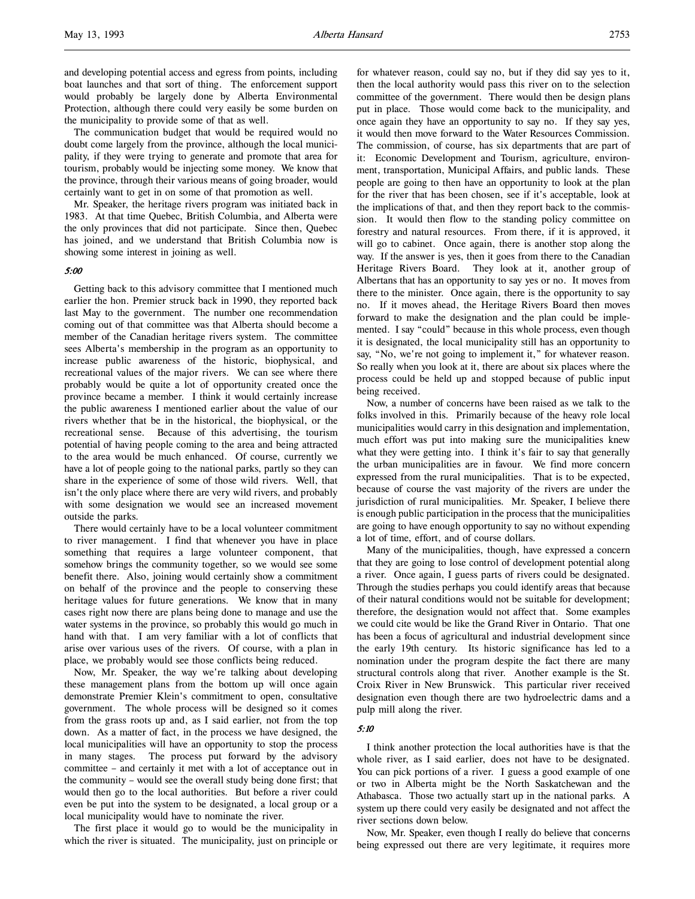and developing potential access and egress from points, including boat launches and that sort of thing. The enforcement support would probably be largely done by Alberta Environmental Protection, although there could very easily be some burden on the municipality to provide some of that as well.

The communication budget that would be required would no doubt come largely from the province, although the local municipality, if they were trying to generate and promote that area for tourism, probably would be injecting some money. We know that the province, through their various means of going broader, would certainly want to get in on some of that promotion as well.

Mr. Speaker, the heritage rivers program was initiated back in 1983. At that time Quebec, British Columbia, and Alberta were the only provinces that did not participate. Since then, Quebec has joined, and we understand that British Columbia now is showing some interest in joining as well.

#### 5:00

Getting back to this advisory committee that I mentioned much earlier the hon. Premier struck back in 1990, they reported back last May to the government. The number one recommendation coming out of that committee was that Alberta should become a member of the Canadian heritage rivers system. The committee sees Alberta's membership in the program as an opportunity to increase public awareness of the historic, biophysical, and recreational values of the major rivers. We can see where there probably would be quite a lot of opportunity created once the province became a member. I think it would certainly increase the public awareness I mentioned earlier about the value of our rivers whether that be in the historical, the biophysical, or the recreational sense. Because of this advertising, the tourism potential of having people coming to the area and being attracted to the area would be much enhanced. Of course, currently we have a lot of people going to the national parks, partly so they can share in the experience of some of those wild rivers. Well, that isn't the only place where there are very wild rivers, and probably with some designation we would see an increased movement outside the parks.

There would certainly have to be a local volunteer commitment to river management. I find that whenever you have in place something that requires a large volunteer component, that somehow brings the community together, so we would see some benefit there. Also, joining would certainly show a commitment on behalf of the province and the people to conserving these heritage values for future generations. We know that in many cases right now there are plans being done to manage and use the water systems in the province, so probably this would go much in hand with that. I am very familiar with a lot of conflicts that arise over various uses of the rivers. Of course, with a plan in place, we probably would see those conflicts being reduced.

Now, Mr. Speaker, the way we're talking about developing these management plans from the bottom up will once again demonstrate Premier Klein's commitment to open, consultative government. The whole process will be designed so it comes from the grass roots up and, as I said earlier, not from the top down. As a matter of fact, in the process we have designed, the local municipalities will have an opportunity to stop the process in many stages. The process put forward by the advisory committee – and certainly it met with a lot of acceptance out in the community – would see the overall study being done first; that would then go to the local authorities. But before a river could even be put into the system to be designated, a local group or a local municipality would have to nominate the river.

The first place it would go to would be the municipality in which the river is situated. The municipality, just on principle or for whatever reason, could say no, but if they did say yes to it, then the local authority would pass this river on to the selection committee of the government. There would then be design plans put in place. Those would come back to the municipality, and once again they have an opportunity to say no. If they say yes, it would then move forward to the Water Resources Commission. The commission, of course, has six departments that are part of it: Economic Development and Tourism, agriculture, environment, transportation, Municipal Affairs, and public lands. These people are going to then have an opportunity to look at the plan for the river that has been chosen, see if it's acceptable, look at the implications of that, and then they report back to the commission. It would then flow to the standing policy committee on forestry and natural resources. From there, if it is approved, it will go to cabinet. Once again, there is another stop along the way. If the answer is yes, then it goes from there to the Canadian Heritage Rivers Board. They look at it, another group of Albertans that has an opportunity to say yes or no. It moves from there to the minister. Once again, there is the opportunity to say no. If it moves ahead, the Heritage Rivers Board then moves forward to make the designation and the plan could be implemented. I say "could" because in this whole process, even though it is designated, the local municipality still has an opportunity to say, "No, we're not going to implement it," for whatever reason. So really when you look at it, there are about six places where the process could be held up and stopped because of public input being received.

Now, a number of concerns have been raised as we talk to the folks involved in this. Primarily because of the heavy role local municipalities would carry in this designation and implementation, much effort was put into making sure the municipalities knew what they were getting into. I think it's fair to say that generally the urban municipalities are in favour. We find more concern expressed from the rural municipalities. That is to be expected, because of course the vast majority of the rivers are under the jurisdiction of rural municipalities. Mr. Speaker, I believe there is enough public participation in the process that the municipalities are going to have enough opportunity to say no without expending a lot of time, effort, and of course dollars.

Many of the municipalities, though, have expressed a concern that they are going to lose control of development potential along a river. Once again, I guess parts of rivers could be designated. Through the studies perhaps you could identify areas that because of their natural conditions would not be suitable for development; therefore, the designation would not affect that. Some examples we could cite would be like the Grand River in Ontario. That one has been a focus of agricultural and industrial development since the early 19th century. Its historic significance has led to a nomination under the program despite the fact there are many structural controls along that river. Another example is the St. Croix River in New Brunswick. This particular river received designation even though there are two hydroelectric dams and a pulp mill along the river.

### 5:10

I think another protection the local authorities have is that the whole river, as I said earlier, does not have to be designated. You can pick portions of a river. I guess a good example of one or two in Alberta might be the North Saskatchewan and the Athabasca. Those two actually start up in the national parks. A system up there could very easily be designated and not affect the river sections down below.

Now, Mr. Speaker, even though I really do believe that concerns being expressed out there are very legitimate, it requires more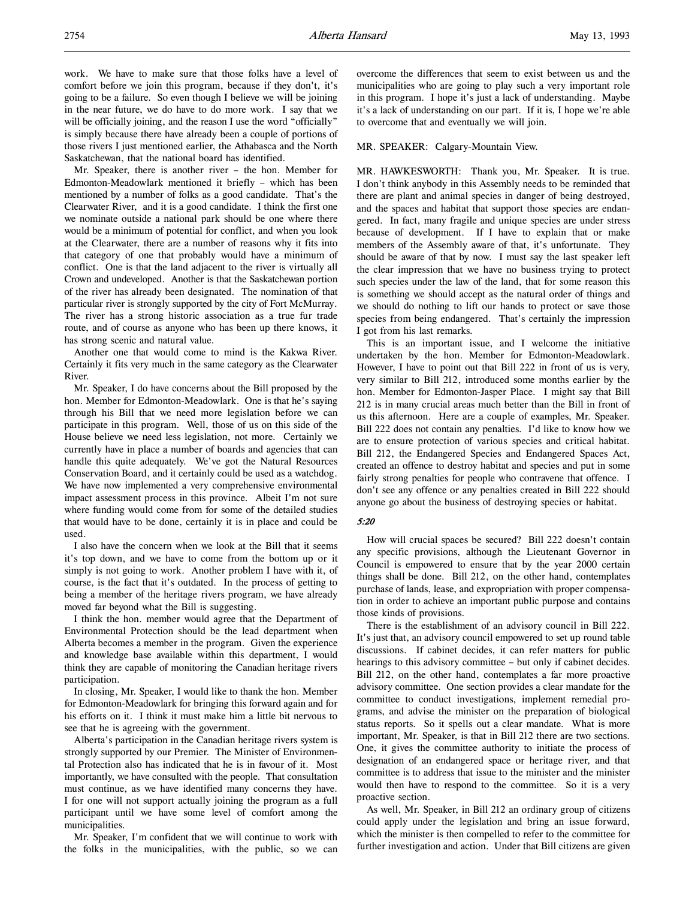work. We have to make sure that those folks have a level of comfort before we join this program, because if they don't, it's going to be a failure. So even though I believe we will be joining in the near future, we do have to do more work. I say that we will be officially joining, and the reason I use the word "officially" is simply because there have already been a couple of portions of those rivers I just mentioned earlier, the Athabasca and the North Saskatchewan, that the national board has identified.

Mr. Speaker, there is another river – the hon. Member for Edmonton-Meadowlark mentioned it briefly – which has been mentioned by a number of folks as a good candidate. That's the Clearwater River, and it is a good candidate. I think the first one we nominate outside a national park should be one where there would be a minimum of potential for conflict, and when you look at the Clearwater, there are a number of reasons why it fits into that category of one that probably would have a minimum of conflict. One is that the land adjacent to the river is virtually all Crown and undeveloped. Another is that the Saskatchewan portion of the river has already been designated. The nomination of that particular river is strongly supported by the city of Fort McMurray. The river has a strong historic association as a true fur trade route, and of course as anyone who has been up there knows, it has strong scenic and natural value.

Another one that would come to mind is the Kakwa River. Certainly it fits very much in the same category as the Clearwater River.

Mr. Speaker, I do have concerns about the Bill proposed by the hon. Member for Edmonton-Meadowlark. One is that he's saying through his Bill that we need more legislation before we can participate in this program. Well, those of us on this side of the House believe we need less legislation, not more. Certainly we currently have in place a number of boards and agencies that can handle this quite adequately. We've got the Natural Resources Conservation Board, and it certainly could be used as a watchdog. We have now implemented a very comprehensive environmental impact assessment process in this province. Albeit I'm not sure where funding would come from for some of the detailed studies that would have to be done, certainly it is in place and could be used.

I also have the concern when we look at the Bill that it seems it's top down, and we have to come from the bottom up or it simply is not going to work. Another problem I have with it, of course, is the fact that it's outdated. In the process of getting to being a member of the heritage rivers program, we have already moved far beyond what the Bill is suggesting.

I think the hon. member would agree that the Department of Environmental Protection should be the lead department when Alberta becomes a member in the program. Given the experience and knowledge base available within this department, I would think they are capable of monitoring the Canadian heritage rivers participation.

In closing, Mr. Speaker, I would like to thank the hon. Member for Edmonton-Meadowlark for bringing this forward again and for his efforts on it. I think it must make him a little bit nervous to see that he is agreeing with the government.

Alberta's participation in the Canadian heritage rivers system is strongly supported by our Premier. The Minister of Environmental Protection also has indicated that he is in favour of it. Most importantly, we have consulted with the people. That consultation must continue, as we have identified many concerns they have. I for one will not support actually joining the program as a full participant until we have some level of comfort among the municipalities.

Mr. Speaker, I'm confident that we will continue to work with the folks in the municipalities, with the public, so we can

overcome the differences that seem to exist between us and the municipalities who are going to play such a very important role in this program. I hope it's just a lack of understanding. Maybe it's a lack of understanding on our part. If it is, I hope we're able to overcome that and eventually we will join.

#### MR. SPEAKER: Calgary-Mountain View.

MR. HAWKESWORTH: Thank you, Mr. Speaker. It is true. I don't think anybody in this Assembly needs to be reminded that there are plant and animal species in danger of being destroyed, and the spaces and habitat that support those species are endangered. In fact, many fragile and unique species are under stress because of development. If I have to explain that or make members of the Assembly aware of that, it's unfortunate. They should be aware of that by now. I must say the last speaker left the clear impression that we have no business trying to protect such species under the law of the land, that for some reason this is something we should accept as the natural order of things and we should do nothing to lift our hands to protect or save those species from being endangered. That's certainly the impression I got from his last remarks.

This is an important issue, and I welcome the initiative undertaken by the hon. Member for Edmonton-Meadowlark. However, I have to point out that Bill 222 in front of us is very, very similar to Bill 212, introduced some months earlier by the hon. Member for Edmonton-Jasper Place. I might say that Bill 212 is in many crucial areas much better than the Bill in front of us this afternoon. Here are a couple of examples, Mr. Speaker. Bill 222 does not contain any penalties. I'd like to know how we are to ensure protection of various species and critical habitat. Bill 212, the Endangered Species and Endangered Spaces Act, created an offence to destroy habitat and species and put in some fairly strong penalties for people who contravene that offence. I don't see any offence or any penalties created in Bill 222 should anyone go about the business of destroying species or habitat.

#### 5:20

How will crucial spaces be secured? Bill 222 doesn't contain any specific provisions, although the Lieutenant Governor in Council is empowered to ensure that by the year 2000 certain things shall be done. Bill 212, on the other hand, contemplates purchase of lands, lease, and expropriation with proper compensation in order to achieve an important public purpose and contains those kinds of provisions.

There is the establishment of an advisory council in Bill 222. It's just that, an advisory council empowered to set up round table discussions. If cabinet decides, it can refer matters for public hearings to this advisory committee – but only if cabinet decides. Bill 212, on the other hand, contemplates a far more proactive advisory committee. One section provides a clear mandate for the committee to conduct investigations, implement remedial programs, and advise the minister on the preparation of biological status reports. So it spells out a clear mandate. What is more important, Mr. Speaker, is that in Bill 212 there are two sections. One, it gives the committee authority to initiate the process of designation of an endangered space or heritage river, and that committee is to address that issue to the minister and the minister would then have to respond to the committee. So it is a very proactive section.

As well, Mr. Speaker, in Bill 212 an ordinary group of citizens could apply under the legislation and bring an issue forward, which the minister is then compelled to refer to the committee for further investigation and action. Under that Bill citizens are given